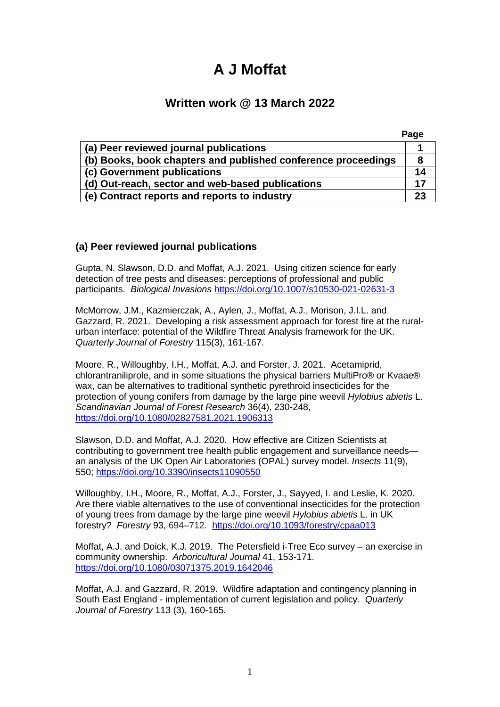# **A J Moffat**

# **Written work @ 13 March 2022**

|                                                               | Page |
|---------------------------------------------------------------|------|
| (a) Peer reviewed journal publications                        |      |
| (b) Books, book chapters and published conference proceedings | 8    |
| (c) Government publications                                   | 14   |
| (d) Out-reach, sector and web-based publications              | 17   |
| (e) Contract reports and reports to industry                  | 23   |

### **(a) Peer reviewed journal publications**

Gupta, N. Slawson, D.D. and Moffat, A.J. 2021. Using citizen science for early detection of tree pests and diseases: perceptions of professional and public participants. *Biological Invasions* <https://doi.org/10.1007/s10530-021-02631-3>

McMorrow, J.M., Kazmierczak, A., Aylen, J., Moffat, A.J., Morison, J.I.L. and Gazzard, R. 2021. Developing a risk assessment approach for forest fire at the ruralurban interface: potential of the Wildfire Threat Analysis framework for the UK. *Quarterly Journal of Forestry* 115(3), 161-167.

Moore, R., Willoughby, I.H., Moffat, A.J. and Forster, J. 2021. Acetamiprid, chlorantraniliprole, and in some situations the physical barriers MultiPro® or Kvaae® wax, can be alternatives to traditional synthetic pyrethroid insecticides for the protection of young conifers from damage by the large pine weevil *Hylobius abietis* L. *Scandinavian Journal of Forest Research* 36(4), 230-248, <https://doi.org/10.1080/02827581.2021.1906313>

Slawson, D.D. and Moffat, A.J. 2020. How effective are Citizen Scientists at contributing to government tree health public engagement and surveillance needs an analysis of the UK Open Air Laboratories (OPAL) survey model. *Insects* 11(9), 550;<https://doi.org/10.3390/insects11090550>

Willoughby, I.H., Moore, R., Moffat, A.J., Forster, J., Sayyed, I. and Leslie, K. 2020. Are there viable alternatives to the use of conventional insecticides for the protection of young trees from damage by the large pine weevil *Hylobius abietis* L. in UK forestry? *Forestry* 93, 694–712*.* <https://doi.org/10.1093/forestry/cpaa013>

Moffat, A.J. and Doick, K.J. 2019. The Petersfield i-Tree Eco survey – an exercise in community ownership. *Arboricultural Journal* 41, 153-171. <https://doi.org/10.1080/03071375.2019.1642046>

Moffat, A.J. and Gazzard, R. 2019. Wildfire adaptation and contingency planning in South East England - implementation of current legislation and policy. *Quarterly Journal of Forestry* 113 (3), 160-165.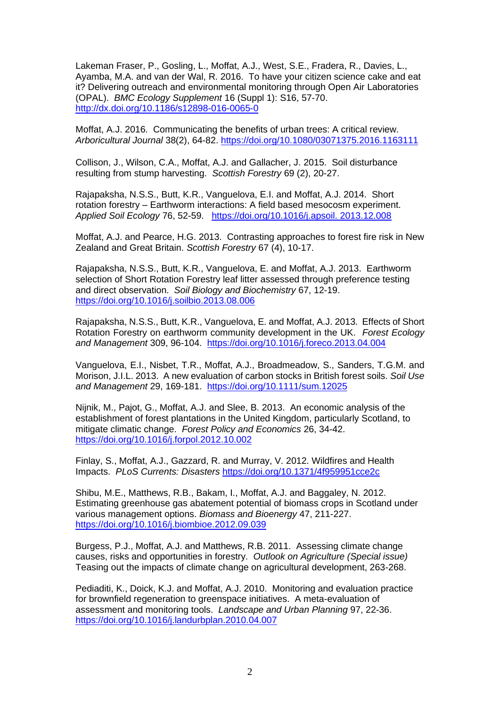Lakeman Fraser, P., Gosling, L., Moffat, A.J., West, S.E., Fradera, R., Davies, L., Ayamba, M.A. and van der Wal, R. 2016. To have your citizen science cake and eat it? Delivering outreach and environmental monitoring through Open Air Laboratories (OPAL). *BMC Ecology Supplement* 16 (Suppl 1): S16, 57-70. <http://dx.doi.org/10.1186/s12898-016-0065-0>

Moffat, A.J. 2016. Communicating the benefits of urban trees: A critical review. *Arboricultural Journal* 38(2), 64-82. <https://doi.org/10.1080/03071375.2016.1163111>

Collison, J., Wilson, C.A., Moffat, A.J. and Gallacher, J. 2015. Soil disturbance resulting from stump harvesting. *Scottish Forestry* 69 (2), 20-27.

Rajapaksha, N.S.S., Butt, K.R., Vanguelova, E.I. and Moffat, A.J. 2014. Short rotation forestry – Earthworm interactions: A field based mesocosm experiment. *Applied Soil Ecology* 76, 52-59. [https://doi.org/10.1016/j.apsoil. 2013.12.008](https://doi.org/10.1016/j.apsoil.%202013.12.008)

Moffat, A.J. and Pearce, H.G. 2013. Contrasting approaches to forest fire risk in New Zealand and Great Britain. *Scottish Forestry* 67 (4), 10-17.

Rajapaksha, N.S.S., Butt, K.R., Vanguelova, E. and Moffat, A.J. 2013. Earthworm selection of Short Rotation Forestry leaf litter assessed through preference testing and direct observation. *Soil Biology and Biochemistry* 67, 12-19. <https://doi.org/10.1016/j.soilbio.2013.08.006>

Rajapaksha, N.S.S., Butt, K.R., Vanguelova, E. and Moffat, A.J. 2013. Effects of Short Rotation Forestry on earthworm community development in the UK. *Forest Ecology and Management* 309, 96-104. <https://doi.org/10.1016/j.foreco.2013.04.004>

Vanguelova, E.I., Nisbet, T.R., Moffat, A.J., Broadmeadow, S., Sanders, T.G.M. and Morison, J.I.L. 2013. A new evaluation of carbon stocks in British forest soils. *Soil Use and Management* 29, 169-181. <https://doi.org/10.1111/sum.12025>

Nijnik, M., Pajot, G., Moffat, A.J. and Slee, B. 2013. An economic analysis of the establishment of forest plantations in the United Kingdom, particularly Scotland, to mitigate climatic change. *Forest Policy and Economics* 26, 34-42. <https://doi.org/10.1016/j.forpol.2012.10.002>

Finlay, S., Moffat, A.J., Gazzard, R. and Murray, V. 2012. Wildfires and Health Impacts. *PLoS Currents: Disasters* <https://doi.org/10.1371/4f959951cce2c>

Shibu, M.E., Matthews, R.B., Bakam, I., Moffat, A.J. and Baggaley, N. 2012. Estimating greenhouse gas abatement potential of biomass crops in Scotland under various management options. *Biomass and Bioenergy* 47, 211-227. <https://doi.org/10.1016/j.biombioe.2012.09.039>

Burgess, P.J., Moffat, A.J. and Matthews, R.B. 2011. Assessing climate change causes, risks and opportunities in forestry. *Outlook on Agriculture (Special issue)*  Teasing out the impacts of climate change on agricultural development, 263-268.

Pediaditi, K., Doick, K.J. and Moffat, A.J. 2010. Monitoring and evaluation practice for brownfield regeneration to greenspace initiatives. A meta-evaluation of assessment and monitoring tools. *Landscape and Urban Planning* 97, 22-36. <https://doi.org/10.1016/j.landurbplan.2010.04.007>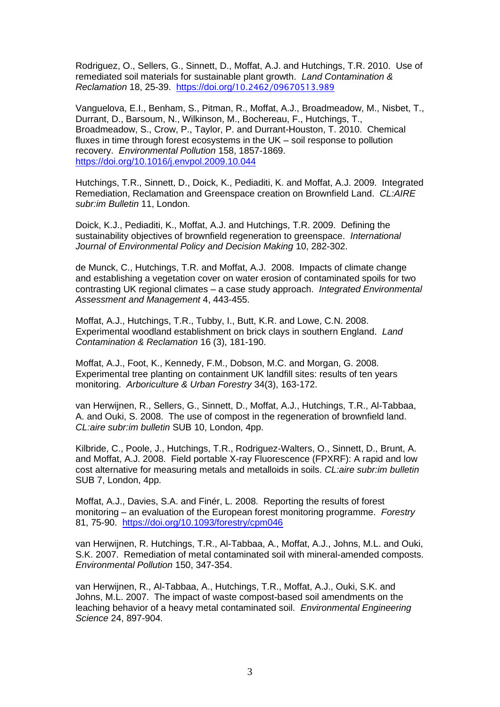Rodriguez, O., Sellers, G., Sinnett, D., Moffat, A.J. and Hutchings, T.R. 2010. Use of remediated soil materials for sustainable plant growth. *Land Contamination & Reclamation* 18, 25-39. [https://doi.org/](https://doi.org/10.2462/09670513.989)[10.2462/09670513.989](https://doi.org/10.2462/09670513.989)

Vanguelova, E.I., Benham, S., Pitman, R., Moffat, A.J., Broadmeadow, M., Nisbet, T., Durrant, D., Barsoum, N., Wilkinson, M., Bochereau, F., Hutchings, T., Broadmeadow, S., Crow, P., Taylor, P. and Durrant-Houston, T. 2010. Chemical fluxes in time through forest ecosystems in the UK – soil response to pollution recovery. *Environmental Pollution* 158, 1857-1869. <https://doi.org/10.1016/j.envpol.2009.10.044>

Hutchings, T.R., Sinnett, D., Doick, K., Pediaditi, K. and Moffat, A.J. 2009. Integrated Remediation, Reclamation and Greenspace creation on Brownfield Land. *CL:AIRE subr:im Bulletin* 11, London.

Doick, K.J., Pediaditi, K., Moffat, A.J. and Hutchings, T.R. 2009. Defining the sustainability objectives of brownfield regeneration to greenspace. *International Journal of Environmental Policy and Decision Making* 10, 282-302.

de Munck, C., Hutchings, T.R. and Moffat, A.J. 2008. Impacts of climate change and establishing a vegetation cover on water erosion of contaminated spoils for two contrasting UK regional climates – a case study approach. *Integrated Environmental Assessment and Management* 4, 443-455.

Moffat, A.J., Hutchings, T.R., Tubby, I., Butt, K.R. and Lowe, C.N. 2008. Experimental woodland establishment on brick clays in southern England. *Land Contamination & Reclamation* 16 (3), 181-190.

Moffat, A.J., Foot, K., Kennedy, F.M., Dobson, M.C. and Morgan, G. 2008. Experimental tree planting on containment UK landfill sites: results of ten years monitoring. *Arboriculture & Urban Forestry* 34(3), 163-172.

van Herwijnen, R., Sellers, G., Sinnett, D., Moffat, A.J., Hutchings, T.R., Al-Tabbaa, A. and Ouki, S. 2008. The use of compost in the regeneration of brownfield land. *CL:aire subr:im bulletin* SUB 10, London, 4pp.

Kilbride, C., Poole, J., Hutchings, T.R., Rodriguez-Walters, O., Sinnett, D., Brunt, A. and Moffat, A.J. 2008. Field portable X-ray Fluorescence (FPXRF): A rapid and low cost alternative for measuring metals and metalloids in soils. *CL:aire subr:im bulletin* SUB 7, London, 4pp.

Moffat, A.J., Davies, S.A. and Finér, L. 2008. Reporting the results of forest monitoring – an evaluation of the European forest monitoring programme. *Forestry* 81, 75-90. <https://doi.org/10.1093/forestry/cpm046>

van Herwijnen, R. Hutchings, T.R., Al-Tabbaa, A., Moffat, A.J., Johns, M.L. and Ouki, S.K. 2007. Remediation of metal contaminated soil with mineral-amended composts. *Environmental Pollution* 150, 347-354.

van Herwijnen, R., Al-Tabbaa, A., Hutchings, T.R., Moffat, A.J., Ouki, S.K. and Johns, M.L. 2007. The impact of waste compost-based soil amendments on the leaching behavior of a heavy metal contaminated soil. *Environmental Engineering Science* 24, 897-904.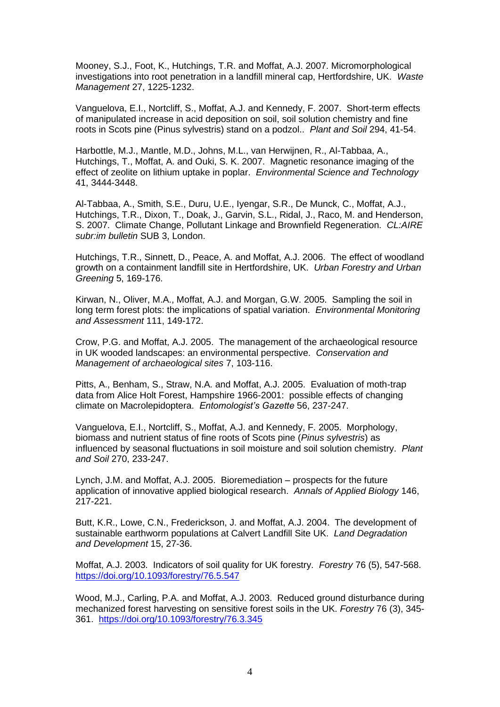Mooney, S.J., Foot, K., Hutchings, T.R. and Moffat, A.J. 2007. Micromorphological investigations into root penetration in a landfill mineral cap, Hertfordshire, UK. *Waste Management* 27, 1225-1232.

Vanguelova, E.I., Nortcliff, S., Moffat, A.J. and Kennedy, F. 2007. Short-term effects of manipulated increase in acid deposition on soil, soil solution chemistry and fine roots in Scots pine (Pinus sylvestris) stand on a podzol.. *Plant and Soil* 294, 41-54.

Harbottle, M.J., Mantle, M.D., Johns, M.L., van Herwijnen, R., Al-Tabbaa, A., Hutchings, T., Moffat, A. and Ouki, S. K. 2007. Magnetic resonance imaging of the effect of zeolite on lithium uptake in poplar. *Environmental Science and Technology*  41, 3444-3448.

Al-Tabbaa, A., Smith, S.E., Duru, U.E., Iyengar, S.R., De Munck, C., Moffat, A.J., Hutchings, T.R., Dixon, T., Doak, J., Garvin, S.L., Ridal, J., Raco, M. and Henderson, S. 2007. Climate Change, Pollutant Linkage and Brownfield Regeneration. *CL:AIRE subr:im bulletin* SUB 3, London.

Hutchings, T.R., Sinnett, D., Peace, A. and Moffat, A.J. 2006. The effect of woodland growth on a containment landfill site in Hertfordshire, UK. *Urban Forestry and Urban Greening* 5, 169-176.

Kirwan, N., Oliver, M.A., Moffat, A.J. and Morgan, G.W. 2005. Sampling the soil in long term forest plots: the implications of spatial variation. *Environmental Monitoring and Assessment* 111, 149-172.

Crow, P.G. and Moffat, A.J. 2005. The management of the archaeological resource in UK wooded landscapes: an environmental perspective. *Conservation and Management of archaeological sites* 7, 103-116.

Pitts, A., Benham, S., Straw, N.A. and Moffat, A.J. 2005. Evaluation of moth-trap data from Alice Holt Forest, Hampshire 1966-2001: possible effects of changing climate on Macrolepidoptera. *Entomologist's Gazette* 56, 237-247.

Vanguelova, E.I., Nortcliff, S., Moffat, A.J. and Kennedy, F. 2005. Morphology, biomass and nutrient status of fine roots of Scots pine (*Pinus sylvestris*) as influenced by seasonal fluctuations in soil moisture and soil solution chemistry. *Plant and Soil* 270, 233-247.

Lynch, J.M. and Moffat, A.J. 2005. Bioremediation – prospects for the future application of innovative applied biological research. *Annals of Applied Biology* 146, 217-221.

Butt, K.R., Lowe, C.N., Frederickson, J. and Moffat, A.J. 2004. The development of sustainable earthworm populations at Calvert Landfill Site UK. *Land Degradation and Development* 15, 27-36.

Moffat, A.J. 2003. Indicators of soil quality for UK forestry. *Forestry* 76 (5), 547-568. <https://doi.org/10.1093/forestry/76.5.547>

Wood, M.J., Carling, P.A. and Moffat, A.J. 2003. Reduced ground disturbance during mechanized forest harvesting on sensitive forest soils in the UK. *Forestry* 76 (3), 345- 361. <https://doi.org/10.1093/forestry/76.3.345>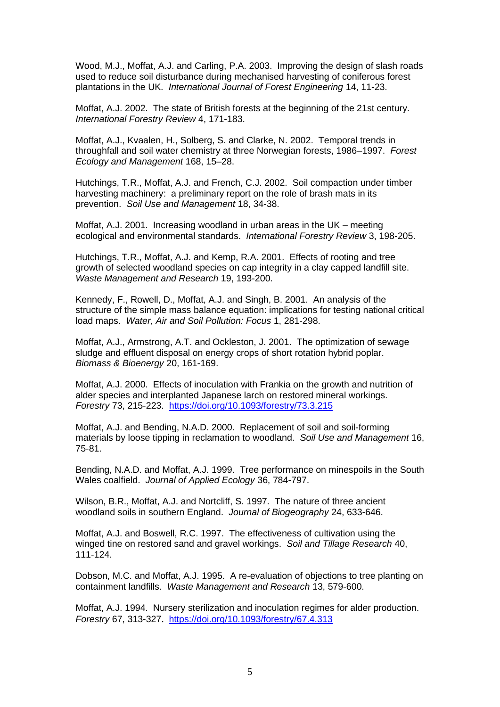Wood, M.J., Moffat, A.J. and Carling, P.A. 2003. Improving the design of slash roads used to reduce soil disturbance during mechanised harvesting of coniferous forest plantations in the UK. *International Journal of Forest Engineering* 14, 11-23.

Moffat, A.J. 2002. The state of British forests at the beginning of the 21st century. *International Forestry Review* 4, 171-183.

Moffat, A.J., Kvaalen, H., Solberg, S. and Clarke, N. 2002. Temporal trends in throughfall and soil water chemistry at three Norwegian forests, 1986–1997. *Forest Ecology and Management* 168, 15–28.

Hutchings, T.R., Moffat, A.J. and French, C.J. 2002. Soil compaction under timber harvesting machinery: a preliminary report on the role of brash mats in its prevention. *Soil Use and Management* 18, 34-38.

Moffat, A.J. 2001. Increasing woodland in urban areas in the UK – meeting ecological and environmental standards. *International Forestry Review* 3, 198-205.

Hutchings, T.R., Moffat, A.J. and Kemp, R.A. 2001. Effects of rooting and tree growth of selected woodland species on cap integrity in a clay capped landfill site. *Waste Management and Research* 19, 193-200.

Kennedy, F., Rowell, D., Moffat, A.J. and Singh, B. 2001. An analysis of the structure of the simple mass balance equation: implications for testing national critical load maps. *Water, Air and Soil Pollution: Focus* 1, 281-298.

Moffat, A.J., Armstrong, A.T. and Ockleston, J. 2001. The optimization of sewage sludge and effluent disposal on energy crops of short rotation hybrid poplar. *Biomass & Bioenergy* 20, 161-169.

Moffat, A.J. 2000. Effects of inoculation with Frankia on the growth and nutrition of alder species and interplanted Japanese larch on restored mineral workings. *Forestry* 73, 215-223. <https://doi.org/10.1093/forestry/73.3.215>

Moffat, A.J. and Bending, N.A.D. 2000. Replacement of soil and soil-forming materials by loose tipping in reclamation to woodland. *Soil Use and Management* 16, 75-81.

Bending, N.A.D. and Moffat, A.J. 1999. Tree performance on minespoils in the South Wales coalfield. *Journal of Applied Ecology* 36, 784-797.

Wilson, B.R., Moffat, A.J. and Nortcliff, S. 1997. The nature of three ancient woodland soils in southern England. *Journal of Biogeography* 24, 633-646.

Moffat, A.J. and Boswell, R.C. 1997. The effectiveness of cultivation using the winged tine on restored sand and gravel workings. *Soil and Tillage Research* 40, 111-124.

Dobson, M.C. and Moffat, A.J. 1995. A re-evaluation of objections to tree planting on containment landfills. *Waste Management and Research* 13, 579-600.

Moffat, A.J. 1994. Nursery sterilization and inoculation regimes for alder production. *Forestry* 67, 313-327. <https://doi.org/10.1093/forestry/67.4.313>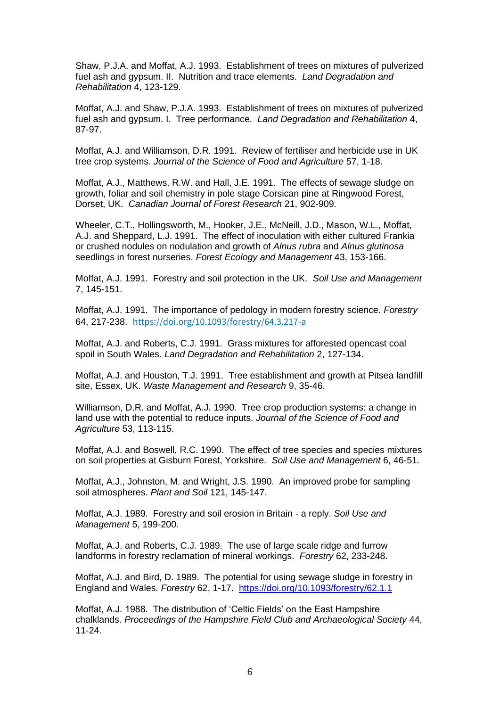Shaw, P.J.A. and Moffat, A.J. 1993. Establishment of trees on mixtures of pulverized fuel ash and gypsum. II. Nutrition and trace elements. *Land Degradation and Rehabilitation* 4, 123-129.

Moffat, A.J. and Shaw, P.J.A. 1993. Establishment of trees on mixtures of pulverized fuel ash and gypsum. I. Tree performance. *Land Degradation and Rehabilitation* 4, 87-97.

Moffat, A.J. and Williamson, D.R. 1991. Review of fertiliser and herbicide use in UK tree crop systems. *Journal of the Science of Food and Agriculture* 57, 1-18.

Moffat, A.J., Matthews, R.W. and Hall, J.E. 1991. The effects of sewage sludge on growth, foliar and soil chemistry in pole stage Corsican pine at Ringwood Forest, Dorset, UK. *Canadian Journal of Forest Research* 21, 902-909.

Wheeler, C.T., Hollingsworth, M., Hooker, J.E., McNeill, J.D., Mason, W.L., Moffat, A.J. and Sheppard, L.J. 1991. The effect of inoculation with either cultured Frankia or crushed nodules on nodulation and growth of *Alnus rubra* and *Alnus glutinosa*  seedlings in forest nurseries. *Forest Ecology and Management* 43, 153-166.

Moffat, A.J. 1991. Forestry and soil protection in the UK. *Soil Use and Management*  7, 145-151.

Moffat, A.J. 1991. The importance of pedology in modern forestry science. *Forestry* 64, 217-238. <https://doi.org/10.1093/forestry/64.3.217-a>

Moffat, A.J. and Roberts, C.J. 1991. Grass mixtures for afforested opencast coal spoil in South Wales. *Land Degradation and Rehabilitation* 2, 127-134.

Moffat, A.J. and Houston, T.J. 1991. Tree establishment and growth at Pitsea landfill site, Essex, UK. *Waste Management and Research* 9, 35-46.

Williamson, D.R. and Moffat, A.J. 1990. Tree crop production systems: a change in land use with the potential to reduce inputs. *Journal of the Science of Food and Agriculture* 53, 113-115.

Moffat, A.J. and Boswell, R.C. 1990. The effect of tree species and species mixtures on soil properties at Gisburn Forest, Yorkshire. *Soil Use and Management* 6, 46-51.

Moffat, A.J., Johnston, M. and Wright, J.S. 1990. An improved probe for sampling soil atmospheres. *Plant and Soil* 121, 145-147.

Moffat, A.J. 1989. Forestry and soil erosion in Britain - a reply. *Soil Use and Management* 5, 199-200.

Moffat, A.J. and Roberts, C.J. 1989. The use of large scale ridge and furrow landforms in forestry reclamation of mineral workings. *Forestry* 62, 233-248.

Moffat, A.J. and Bird, D. 1989. The potential for using sewage sludge in forestry in England and Wales. *Forestry* 62, 1-17. <https://doi.org/10.1093/forestry/62.1.1>

Moffat, A.J. 1988. The distribution of 'Celtic Fields' on the East Hampshire chalklands. *Proceedings of the Hampshire Field Club and Archaeological Society* 44, 11-24.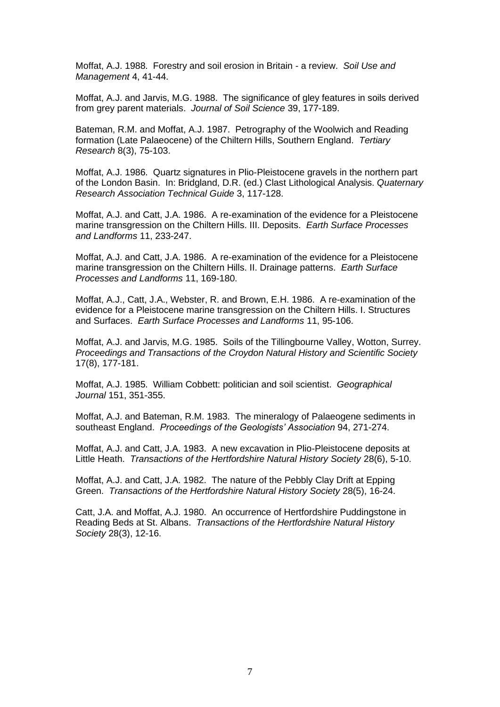Moffat, A.J. 1988. Forestry and soil erosion in Britain - a review. *Soil Use and Management* 4, 41-44.

Moffat, A.J. and Jarvis, M.G. 1988. The significance of gley features in soils derived from grey parent materials. *Journal of Soil Science* 39, 177-189.

Bateman, R.M. and Moffat, A.J. 1987. Petrography of the Woolwich and Reading formation (Late Palaeocene) of the Chiltern Hills, Southern England. *Tertiary Research* 8(3), 75-103.

Moffat, A.J. 1986. Quartz signatures in Plio-Pleistocene gravels in the northern part of the London Basin. In: Bridgland, D.R. (ed.) Clast Lithological Analysis. *Quaternary Research Association Technical Guide* 3, 117-128.

Moffat, A.J. and Catt, J.A. 1986. A re-examination of the evidence for a Pleistocene marine transgression on the Chiltern Hills. III. Deposits. *Earth Surface Processes and Landforms* 11, 233-247.

Moffat, A.J. and Catt, J.A. 1986. A re-examination of the evidence for a Pleistocene marine transgression on the Chiltern Hills. II. Drainage patterns. *Earth Surface Processes and Landforms* 11, 169-180.

Moffat, A.J., Catt, J.A., Webster, R. and Brown, E.H. 1986. A re-examination of the evidence for a Pleistocene marine transgression on the Chiltern Hills. I. Structures and Surfaces. *Earth Surface Processes and Landforms* 11, 95-106.

Moffat, A.J. and Jarvis, M.G. 1985. Soils of the Tillingbourne Valley, Wotton, Surrey. *Proceedings and Transactions of the Croydon Natural History and Scientific Society* 17(8), 177-181.

Moffat, A.J. 1985. William Cobbett: politician and soil scientist. *Geographical Journal* 151, 351-355.

Moffat, A.J. and Bateman, R.M. 1983. The mineralogy of Palaeogene sediments in southeast England. *Proceedings of the Geologists' Association* 94, 271-274.

Moffat, A.J. and Catt, J.A. 1983. A new excavation in Plio-Pleistocene deposits at Little Heath. *Transactions of the Hertfordshire Natural History Society* 28(6), 5-10.

Moffat, A.J. and Catt, J.A. 1982. The nature of the Pebbly Clay Drift at Epping Green. *Transactions of the Hertfordshire Natural History Society* 28(5), 16-24.

Catt, J.A. and Moffat, A.J. 1980. An occurrence of Hertfordshire Puddingstone in Reading Beds at St. Albans. *Transactions of the Hertfordshire Natural History Society* 28(3), 12-16.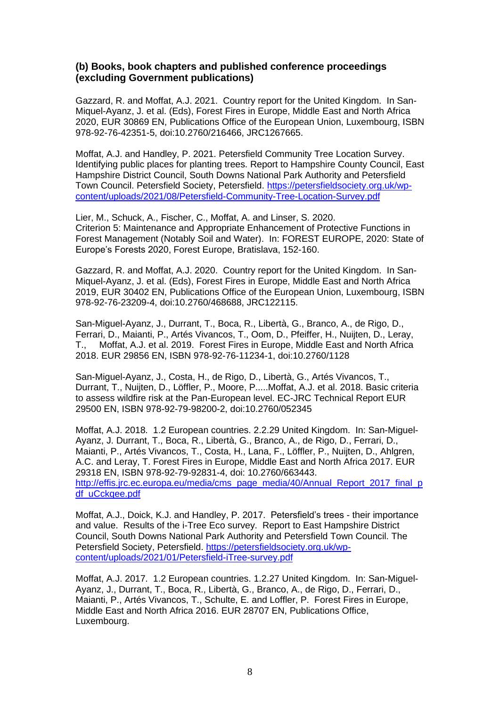#### **(b) Books, book chapters and published conference proceedings (excluding Government publications)**

Gazzard, R. and Moffat, A.J. 2021. Country report for the United Kingdom. In San-Miquel-Ayanz, J. et al. (Eds), Forest Fires in Europe, Middle East and North Africa 2020, EUR 30869 EN, Publications Office of the European Union, Luxembourg, ISBN 978-92-76-42351-5, doi:10.2760/216466, JRC1267665.

Moffat, A.J. and Handley, P. 2021. Petersfield Community Tree Location Survey. Identifying public places for planting trees. Report to Hampshire County Council, East Hampshire District Council, South Downs National Park Authority and Petersfield Town Council. Petersfield Society, Petersfield. [https://petersfieldsociety.org.uk/wp](https://petersfieldsociety.org.uk/wp-content/uploads/2021/08/Petersfield-Community-Tree-Location-Survey.pdf)[content/uploads/2021/08/Petersfield-Community-Tree-Location-Survey.pdf](https://petersfieldsociety.org.uk/wp-content/uploads/2021/08/Petersfield-Community-Tree-Location-Survey.pdf)

Lier, M., Schuck, A., Fischer, C., Moffat, A. and Linser, S. 2020. Criterion 5: Maintenance and Appropriate Enhancement of Protective Functions in Forest Management (Notably Soil and Water). In: FOREST EUROPE, 2020: State of Europe's Forests 2020, Forest Europe, Bratislava, 152-160.

Gazzard, R. and Moffat, A.J. 2020. Country report for the United Kingdom. In San-Miquel-Ayanz, J. et al. (Eds), Forest Fires in Europe, Middle East and North Africa 2019, EUR 30402 EN, Publications Office of the European Union, Luxembourg, ISBN 978-92-76-23209-4, doi:10.2760/468688, JRC122115.

San-Miguel-Ayanz, J., Durrant, T., Boca, R., Libertà, G., Branco, A., de Rigo, D., Ferrari, D., Maianti, P., Artés Vivancos, T., Oom, D., Pfeiffer, H., Nuijten, D., Leray, T., Moffat, A.J. et al. 2019. Forest Fires in Europe, Middle East and North Africa 2018. EUR 29856 EN, ISBN 978-92-76-11234-1, doi:10.2760/1128

San-Miguel-Ayanz, J., Costa, H., de Rigo, D., Libertà, G., Artés Vivancos, T., Durrant, T., Nuijten, D., Löffler, P., Moore, P.....Moffat, A.J. et al. 2018. Basic criteria to assess wildfire risk at the Pan-European level. EC-JRC Technical Report EUR 29500 EN, ISBN 978-92-79-98200-2, doi:10.2760/052345

Moffat, A.J. 2018. 1.2 European countries. 2.2.29 United Kingdom. In: San-Miguel-Ayanz, J. Durrant, T., Boca, R., Libertà, G., Branco, A., de Rigo, D., Ferrari, D., Maianti, P., Artés Vivancos, T., Costa, H., Lana, F., Löffler, P., Nuijten, D., Ahlgren, A.C. and Leray, T. Forest Fires in Europe, Middle East and North Africa 2017. EUR 29318 EN, ISBN 978-92-79-92831-4, doi: 10.2760/663443. [http://effis.jrc.ec.europa.eu/media/cms\\_page\\_media/40/Annual\\_Report\\_2017\\_final\\_p](http://effis.jrc.ec.europa.eu/media/cms_page_media/40/Annual_Report_2017_final_pdf_uCckqee.pdf) df\_uCckaee.pdf

Moffat, A.J., Doick, K.J. and Handley, P. 2017. Petersfield's trees - their importance and value. Results of the i-Tree Eco survey. Report to East Hampshire District Council, South Downs National Park Authority and Petersfield Town Council. The Petersfield Society, Petersfield. https://petersfieldsociety.org.uk/wpcontent/uploads/2021/01/Petersfield-iTree-survey.pdf

Moffat, A.J. 2017. 1.2 European countries. 1.2.27 United Kingdom. In: San-Miguel-Ayanz, J., Durrant, T., Boca, R., Libertà, G., Branco, A., de Rigo, D., Ferrari, D., Maianti, P., Artés Vivancos, T., Schulte, E. and Loffler, P. Forest Fires in Europe, Middle East and North Africa 2016. EUR 28707 EN, Publications Office, Luxembourg.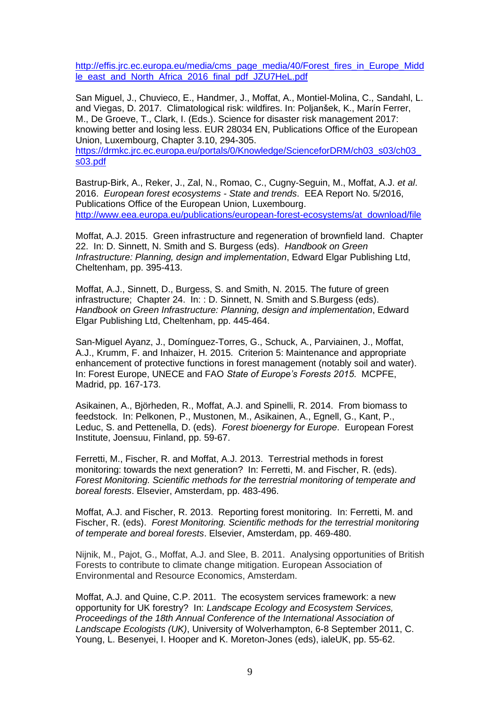[http://effis.jrc.ec.europa.eu/media/cms\\_page\\_media/40/Forest\\_fires\\_in\\_Europe\\_Midd](http://effis.jrc.ec.europa.eu/media/cms_page_media/40/Forest_fires_in_Europe_Middle_east_and_North_Africa_2016_final_pdf_JZU7HeL.pdf) [le\\_east\\_and\\_North\\_Africa\\_2016\\_final\\_pdf\\_JZU7HeL.pdf](http://effis.jrc.ec.europa.eu/media/cms_page_media/40/Forest_fires_in_Europe_Middle_east_and_North_Africa_2016_final_pdf_JZU7HeL.pdf)

San Miguel, J., Chuvieco, E., Handmer, J., Moffat, A., Montiel-Molina, C., Sandahl, L. and Viegas, D. 2017. Climatological risk: wildfires. In: Poljanšek, K., Marín Ferrer, M., De Groeve, T., Clark, I. (Eds.). Science for disaster risk management 2017: knowing better and losing less. EUR 28034 EN, Publications Office of the European Union, Luxembourg, Chapter 3.10, 294-305.

[https://drmkc.jrc.ec.europa.eu/portals/0/Knowledge/ScienceforDRM/ch03\\_s03/ch03\\_](https://drmkc.jrc.ec.europa.eu/portals/0/Knowledge/ScienceforDRM/ch03_s03/ch03_s03.pdf) [s03.pdf](https://drmkc.jrc.ec.europa.eu/portals/0/Knowledge/ScienceforDRM/ch03_s03/ch03_s03.pdf)

Bastrup-Birk, A., Reker, J., Zal, N., Romao, C., Cugny-Seguin, M., Moffat, A.J. *et al*. 2016. *European forest ecosystems - State and trends*. EEA Report No. 5/2016, Publications Office of the European Union, Luxembourg. [http://www.eea.europa.eu/publications/european-forest-ecosystems/at\\_download/file](http://www.eea.europa.eu/publications/european-forest-ecosystems/at_download/file)

Moffat, A.J. 2015. Green infrastructure and regeneration of brownfield land. Chapter 22. In: D. Sinnett, N. Smith and S. Burgess (eds). *Handbook on Green Infrastructure: Planning, design and implementation*, Edward Elgar Publishing Ltd, Cheltenham, pp. 395-413.

Moffat, A.J., Sinnett, D., Burgess, S. and Smith, N. 2015. The future of green infrastructure; Chapter 24. In: : D. Sinnett, N. Smith and S.Burgess (eds). *Handbook on Green Infrastructure: Planning, design and implementation*, Edward Elgar Publishing Ltd, Cheltenham, pp. 445-464.

San-Miguel Ayanz, J., Domínguez-Torres, G., Schuck, A., Parviainen, J., Moffat, A.J., Krumm, F. and Inhaizer, H. 2015. Criterion 5: Maintenance and appropriate enhancement of protective functions in forest management (notably soil and water). In: Forest Europe, UNECE and FAO *State of Europe's Forests 2015*. MCPFE, Madrid, pp. 167-173.

Asikainen, A., Björheden, R., Moffat, A.J. and Spinelli, R. 2014. From biomass to feedstock. In: Pelkonen, P., Mustonen, M., Asikainen, A., Egnell, G., Kant, P., Leduc, S. and Pettenella, D. (eds). *Forest bioenergy for Europe*. European Forest Institute, Joensuu, Finland, pp. 59-67.

Ferretti, M., Fischer, R. and Moffat, A.J. 2013. Terrestrial methods in forest monitoring: towards the next generation? In: Ferretti, M. and Fischer, R. (eds). *Forest Monitoring. Scientific methods for the terrestrial monitoring of temperate and boreal forests*. Elsevier, Amsterdam, pp. 483-496.

Moffat, A.J. and Fischer, R. 2013. Reporting forest monitoring. In: Ferretti, M. and Fischer, R. (eds). *Forest Monitoring. Scientific methods for the terrestrial monitoring of temperate and boreal forests*. Elsevier, Amsterdam, pp. 469-480.

Nijnik, M., Pajot, G., Moffat, A.J. and Slee, B. 2011. Analysing opportunities of British Forests to contribute to climate change mitigation. European Association of Environmental and Resource Economics, Amsterdam.

Moffat, A.J. and Quine, C.P. 2011. The ecosystem services framework: a new opportunity for UK forestry? In: *Landscape Ecology and Ecosystem Services, Proceedings of the 18th Annual Conference of the International Association of Landscape Ecologists (UK)*, University of Wolverhampton, 6-8 September 2011, C. Young, L. Besenyei, I. Hooper and K. Moreton-Jones (eds), ialeUK, pp. 55-62.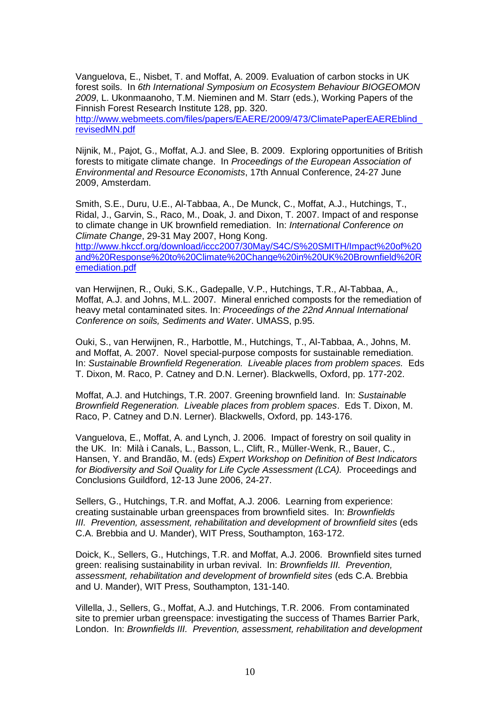Vanguelova, E., Nisbet, T. and Moffat, A. 2009. Evaluation of carbon stocks in UK forest soils. In *6th International Symposium on Ecosystem Behaviour BIOGEOMON 2009*, L. Ukonmaanoho, T.M. Nieminen and M. Starr (eds.), Working Papers of the Finnish Forest Research Institute 128, pp. 320.

[http://www.webmeets.com/files/papers/EAERE/2009/473/ClimatePaperEAEREblind\\_](http://www.webmeets.com/files/papers/EAERE/2009/473/ClimatePaperEAEREblind_revisedMN.pdf) [revisedMN.pdf](http://www.webmeets.com/files/papers/EAERE/2009/473/ClimatePaperEAEREblind_revisedMN.pdf)

Nijnik, M., Pajot, G., Moffat, A.J. and Slee, B. 2009. Exploring opportunities of British forests to mitigate climate change. In *Proceedings of the European Association of Environmental and Resource Economists*, 17th Annual Conference, 24-27 June 2009, Amsterdam.

Smith, S.E., Duru, U.E., Al-Tabbaa, A., De Munck, C., Moffat, A.J., Hutchings, T., Ridal, J., Garvin, S., Raco, M., Doak, J. and Dixon, T. 2007. Impact of and response to climate change in UK brownfield remediation. In: *International Conference on Climate Change*, 29-31 May 2007, Hong Kong.

[http://www.hkccf.org/download/iccc2007/30May/S4C/S%20SMITH/Impact%20of%20](http://www.hkccf.org/download/iccc2007/30May/S4C/S%20SMITH/Impact%20of%20and%20Response%20to%20Climate%20Change%20in%20UK%20Brownfield%20Remediation.pdf) [and%20Response%20to%20Climate%20Change%20in%20UK%20Brownfield%20R](http://www.hkccf.org/download/iccc2007/30May/S4C/S%20SMITH/Impact%20of%20and%20Response%20to%20Climate%20Change%20in%20UK%20Brownfield%20Remediation.pdf) [emediation.pdf](http://www.hkccf.org/download/iccc2007/30May/S4C/S%20SMITH/Impact%20of%20and%20Response%20to%20Climate%20Change%20in%20UK%20Brownfield%20Remediation.pdf)

van Herwijnen, R., Ouki, S.K., Gadepalle, V.P., Hutchings, T.R., Al-Tabbaa, A., Moffat, A.J. and Johns, M.L. 2007. Mineral enriched composts for the remediation of heavy metal contaminated sites. In: *Proceedings of the 22nd Annual International Conference on soils, Sediments and Water*. UMASS, p.95.

Ouki, S., van Herwijnen, R., Harbottle, M., Hutchings, T., Al-Tabbaa, A., Johns, M. and Moffat, A. 2007. Novel special-purpose composts for sustainable remediation. In: *Sustainable Brownfield Regeneration. Liveable places from problem spaces.* Eds T. Dixon, M. Raco, P. Catney and D.N. Lerner). Blackwells, Oxford, pp. 177-202.

Moffat, A.J. and Hutchings, T.R. 2007. Greening brownfield land. In: *Sustainable Brownfield Regeneration. Liveable places from problem spaces*. Eds T. Dixon, M. Raco, P. Catney and D.N. Lerner). Blackwells, Oxford, pp. 143-176.

Vanguelova, E., Moffat, A. and Lynch, J. 2006. Impact of forestry on soil quality in the UK. In: Milà i Canals, L., Basson, L., Clift, R., Müller-Wenk, R., Bauer, C., Hansen, Y. and Brandão, M. (eds) *Expert Workshop on Definition of Best Indicators for Biodiversity and Soil Quality for Life Cycle Assessment (LCA).* Proceedings and Conclusions Guildford, 12-13 June 2006, 24-27.

Sellers, G., Hutchings, T.R. and Moffat, A.J. 2006. Learning from experience: creating sustainable urban greenspaces from brownfield sites. In: *Brownfields III. Prevention, assessment, rehabilitation and development of brownfield sites* (eds C.A. Brebbia and U. Mander), WIT Press, Southampton, 163-172.

Doick, K., Sellers, G., Hutchings, T.R. and Moffat, A.J. 2006. Brownfield sites turned green: realising sustainability in urban revival. In: *Brownfields III. Prevention, assessment, rehabilitation and development of brownfield sites* (eds C.A. Brebbia and U. Mander), WIT Press, Southampton, 131-140.

Villella, J., Sellers, G., Moffat, A.J. and Hutchings, T.R. 2006. From contaminated site to premier urban greenspace: investigating the success of Thames Barrier Park, London. In: *Brownfields III. Prevention, assessment, rehabilitation and development*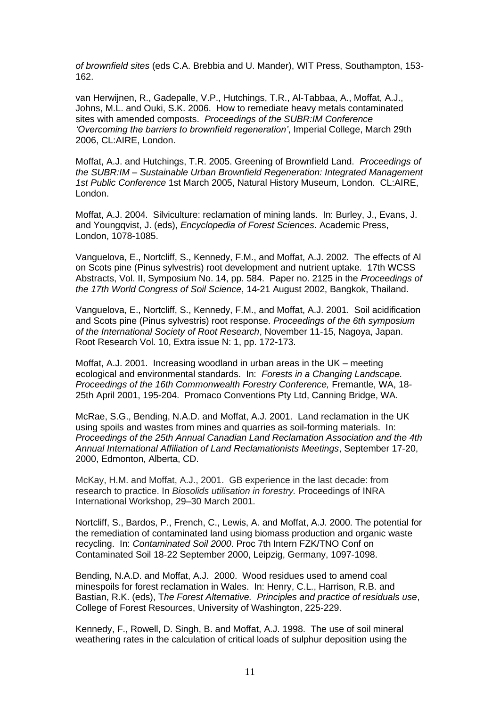*of brownfield sites* (eds C.A. Brebbia and U. Mander), WIT Press, Southampton, 153- 162.

van Herwijnen, R., Gadepalle, V.P., Hutchings, T.R., Al-Tabbaa, A., Moffat, A.J., Johns, M.L. and Ouki, S.K. 2006. How to remediate heavy metals contaminated sites with amended composts. *Proceedings of the SUBR:IM Conference 'Overcoming the barriers to brownfield regeneration'*, Imperial College, March 29th 2006, CL:AIRE, London.

Moffat, A.J. and Hutchings, T.R. 2005. Greening of Brownfield Land. *Proceedings of the SUBR:IM – Sustainable Urban Brownfield Regeneration: Integrated Management 1st Public Conference* 1st March 2005, Natural History Museum, London. CL:AIRE, London.

Moffat, A.J. 2004. Silviculture: reclamation of mining lands. In: Burley, J., Evans, J. and Youngqvist, J. (eds), *Encyclopedia of Forest Sciences*. Academic Press, London, 1078-1085.

Vanguelova, E., Nortcliff, S., Kennedy, F.M., and Moffat, A.J. 2002. The effects of Al on Scots pine (Pinus sylvestris) root development and nutrient uptake. 17th WCSS Abstracts, Vol. II, Symposium No. 14, pp. 584. Paper no. 2125 in the *Proceedings of the 17th World Congress of Soil Science*, 14-21 August 2002, Bangkok, Thailand.

Vanguelova, E., Nortcliff, S., Kennedy, F.M., and Moffat, A.J. 2001. Soil acidification and Scots pine (Pinus sylvestris) root response. *Proceedings of the 6th symposium of the International Society of Root Research*, November 11-15, Nagoya, Japan. Root Research Vol. 10, Extra issue N: 1, pp. 172-173.

Moffat, A.J. 2001. Increasing woodland in urban areas in the UK – meeting ecological and environmental standards. In: *Forests in a Changing Landscape. Proceedings of the 16th Commonwealth Forestry Conference,* Fremantle, WA, 18- 25th April 2001, 195-204. Promaco Conventions Pty Ltd, Canning Bridge, WA.

McRae, S.G., Bending, N.A.D. and Moffat, A.J. 2001. Land reclamation in the UK using spoils and wastes from mines and quarries as soil-forming materials. In: *Proceedings of the 25th Annual Canadian Land Reclamation Association and the 4th Annual International Affiliation of Land Reclamationists Meetings*, September 17-20, 2000, Edmonton, Alberta, CD.

McKay, H.M. and Moffat, A.J., 2001. GB experience in the last decade: from research to practice. In *Biosolids utilisation in forestry.* Proceedings of INRA International Workshop, 29–30 March 2001.

Nortcliff, S., Bardos, P., French, C., Lewis, A. and Moffat, A.J. 2000. The potential for the remediation of contaminated land using biomass production and organic waste recycling. In: *Contaminated Soil 2000*. Proc 7th Intern FZK/TNO Conf on Contaminated Soil 18-22 September 2000, Leipzig, Germany, 1097-1098.

Bending, N.A.D. and Moffat, A.J. 2000. Wood residues used to amend coal minespoils for forest reclamation in Wales. In: Henry, C.L., Harrison, R.B. and Bastian, R.K. (eds), T*he Forest Alternative. Principles and practice of residuals use*, College of Forest Resources, University of Washington, 225-229.

Kennedy, F., Rowell, D. Singh, B. and Moffat, A.J. 1998. The use of soil mineral weathering rates in the calculation of critical loads of sulphur deposition using the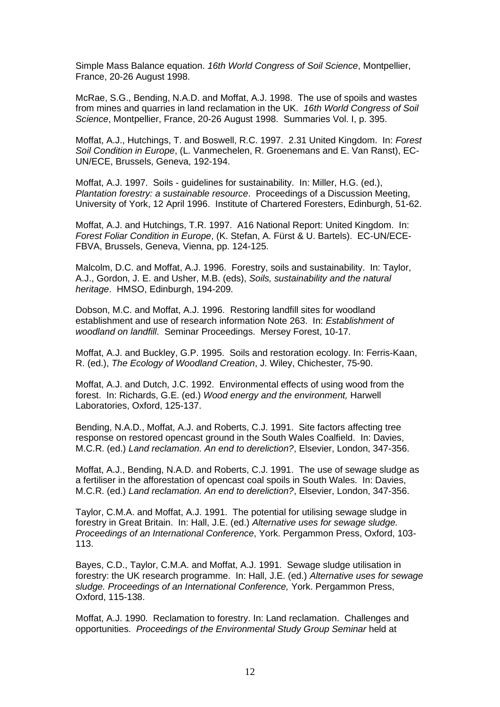Simple Mass Balance equation. *16th World Congress of Soil Science*, Montpellier, France, 20-26 August 1998.

McRae, S.G., Bending, N.A.D. and Moffat, A.J. 1998. The use of spoils and wastes from mines and quarries in land reclamation in the UK. *16th World Congress of Soil Science*, Montpellier, France, 20-26 August 1998. Summaries Vol. I, p. 395.

Moffat, A.J., Hutchings, T. and Boswell, R.C. 1997. 2.31 United Kingdom. In: *Forest Soil Condition in Europe*, (L. Vanmechelen, R. Groenemans and E. Van Ranst), EC-UN/ECE, Brussels, Geneva, 192-194.

Moffat, A.J. 1997. Soils - guidelines for sustainability. In: Miller, H.G. (ed.), *Plantation forestry: a sustainable resource*. Proceedings of a Discussion Meeting, University of York, 12 April 1996. Institute of Chartered Foresters, Edinburgh, 51-62.

Moffat, A.J. and Hutchings, T.R. 1997. A16 National Report: United Kingdom. In: *Forest Foliar Condition in Europe*, (K. Stefan, A. Fürst & U. Bartels). EC-UN/ECE-FBVA, Brussels, Geneva, Vienna, pp. 124-125.

Malcolm, D.C. and Moffat, A.J. 1996. Forestry, soils and sustainability. In: Taylor, A.J., Gordon, J. E. and Usher, M.B. (eds), *Soils, sustainability and the natural heritage*. HMSO, Edinburgh, 194-209.

Dobson, M.C. and Moffat, A.J. 1996. Restoring landfill sites for woodland establishment and use of research information Note 263. In: *Establishment of woodland on landfill*. Seminar Proceedings. Mersey Forest, 10-17.

Moffat, A.J. and Buckley, G.P. 1995. Soils and restoration ecology. In: Ferris-Kaan, R. (ed.), *The Ecology of Woodland Creation*, J. Wiley, Chichester, 75-90.

Moffat, A.J. and Dutch, J.C. 1992. Environmental effects of using wood from the forest. In: Richards, G.E. (ed.) *Wood energy and the environment,* Harwell Laboratories, Oxford, 125-137.

Bending, N.A.D., Moffat, A.J. and Roberts, C.J. 1991. Site factors affecting tree response on restored opencast ground in the South Wales Coalfield. In: Davies, M.C.R. (ed.) *Land reclamation. An end to dereliction?*, Elsevier, London, 347-356.

Moffat, A.J., Bending, N.A.D. and Roberts, C.J. 1991. The use of sewage sludge as a fertiliser in the afforestation of opencast coal spoils in South Wales. In: Davies, M.C.R. (ed.) *Land reclamation. An end to dereliction?*, Elsevier, London, 347-356.

Taylor, C.M.A. and Moffat, A.J. 1991. The potential for utilising sewage sludge in forestry in Great Britain. In: Hall, J.E. (ed.) *Alternative uses for sewage sludge. Proceedings of an International Conference*, York. Pergammon Press, Oxford, 103- 113.

Bayes, C.D., Taylor, C.M.A. and Moffat, A.J. 1991. Sewage sludge utilisation in forestry: the UK research programme. In: Hall, J.E. (ed.) *Alternative uses for sewage sludge. Proceedings of an International Conference,* York. Pergammon Press, Oxford, 115-138.

Moffat, A.J. 1990. Reclamation to forestry. In: Land reclamation. Challenges and opportunities. *Proceedings of the Environmental Study Group Seminar* held at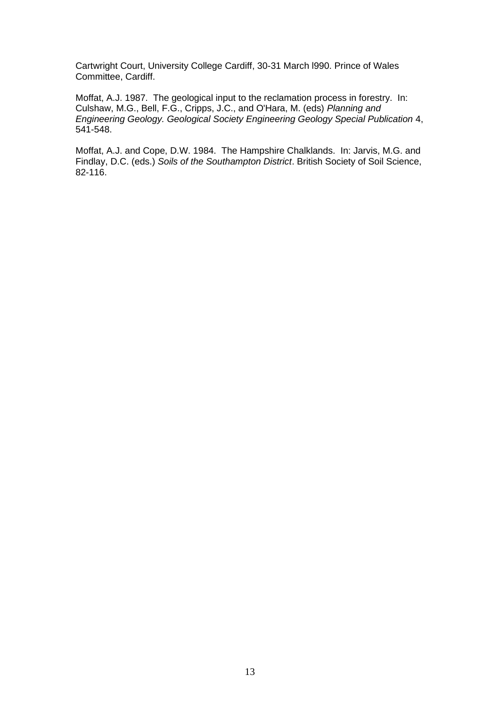Cartwright Court, University College Cardiff, 30-31 March l990. Prince of Wales Committee, Cardiff.

Moffat, A.J. 1987. The geological input to the reclamation process in forestry. In: Culshaw, M.G., Bell, F.G., Cripps, J.C., and O'Hara, M. (eds) *Planning and Engineering Geology. Geological Society Engineering Geology Special Publication* 4, 541-548.

Moffat, A.J. and Cope, D.W. 1984. The Hampshire Chalklands. In: Jarvis, M.G. and Findlay, D.C. (eds.) *Soils of the Southampton District*. British Society of Soil Science, 82-116.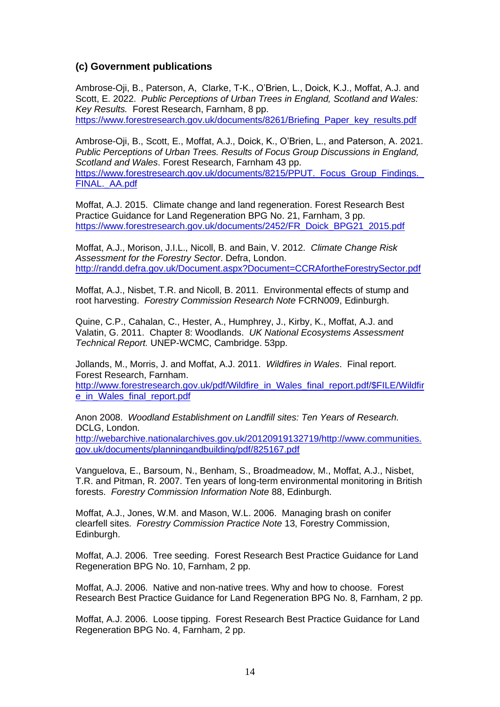#### **(c) Government publications**

Ambrose-Oji, B., Paterson, A, Clarke, T-K., O'Brien, L., Doick, K.J., Moffat, A.J. and Scott, E. 2022. *Public Perceptions of Urban Trees in England, Scotland and Wales: Key Results.* Forest Research, Farnham, 8 pp.

[https://www.forestresearch.gov.uk/documents/8261/Briefing\\_Paper\\_key\\_results.pdf](https://www.forestresearch.gov.uk/documents/8261/Briefing_Paper_key_results.pdf)

Ambrose-Oji, B., Scott, E., Moffat, A.J., Doick, K., O'Brien, L., and Paterson, A. 2021. *Public Perceptions of Urban Trees. Results of Focus Group Discussions in England, Scotland and Wales*. Forest Research, Farnham 43 pp. https://www.forestresearch.gov.uk/documents/8215/PPUT. Focus Group Findings. FINAL. AA.pdf

Moffat, A.J. 2015. Climate change and land regeneration. Forest Research Best Practice Guidance for Land Regeneration BPG No. 21, Farnham, 3 pp. [https://www.forestresearch.gov.uk/documents/2452/FR\\_Doick\\_BPG21\\_2015.pdf](https://www.forestresearch.gov.uk/documents/2452/FR_Doick_BPG21_2015.pdf)

Moffat, A.J., Morison, J.I.L., Nicoll, B. and Bain, V. 2012. *Climate Change Risk Assessment for the Forestry Sector*. Defra, London. <http://randd.defra.gov.uk/Document.aspx?Document=CCRAfortheForestrySector.pdf>

Moffat, A.J., Nisbet, T.R. and Nicoll, B. 2011. Environmental effects of stump and root harvesting. *Forestry Commission Research Note* FCRN009, Edinburgh.

Quine, C.P., Cahalan, C., Hester, A., Humphrey, J., Kirby, K., Moffat, A.J. and Valatin, G. 2011. Chapter 8: Woodlands. *UK National Ecosystems Assessment Technical Report.* UNEP-WCMC, Cambridge. 53pp.

Jollands, M., Morris, J. and Moffat, A.J. 2011. *Wildfires in Wales*. Final report. Forest Research, Farnham. [http://www.forestresearch.gov.uk/pdf/Wildfire\\_in\\_Wales\\_final\\_report.pdf/\\$FILE/Wildfir](http://www.forestresearch.gov.uk/pdf/Wildfire_in_Wales_final_report.pdf/$FILE/Wildfire_in_Wales_final_report.pdf) [e\\_in\\_Wales\\_final\\_report.pdf](http://www.forestresearch.gov.uk/pdf/Wildfire_in_Wales_final_report.pdf/$FILE/Wildfire_in_Wales_final_report.pdf)

Anon 2008. *Woodland Establishment on Landfill sites: Ten Years of Research.*  DCLG, London. [http://webarchive.nationalarchives.gov.uk/20120919132719/http://www.communities.](http://webarchive.nationalarchives.gov.uk/20120919132719/http:/www.communities.gov.uk/documents/planningandbuilding/pdf/825167.pdf)

[gov.uk/documents/planningandbuilding/pdf/825167.pdf](http://webarchive.nationalarchives.gov.uk/20120919132719/http:/www.communities.gov.uk/documents/planningandbuilding/pdf/825167.pdf) Vanguelova, E., Barsoum, N., Benham, S., Broadmeadow, M., Moffat, A.J., Nisbet,

T.R. and Pitman, R. 2007. Ten years of long-term environmental monitoring in British forests. *Forestry Commission Information Note* 88, Edinburgh.

Moffat, A.J., Jones, W.M. and Mason, W.L. 2006. Managing brash on conifer clearfell sites. *Forestry Commission Practice Note* 13, Forestry Commission, Edinburgh.

Moffat, A.J. 2006. Tree seeding. Forest Research Best Practice Guidance for Land Regeneration BPG No. 10, Farnham, 2 pp.

Moffat, A.J. 2006. Native and non-native trees. Why and how to choose. Forest Research Best Practice Guidance for Land Regeneration BPG No. 8, Farnham, 2 pp.

Moffat, A.J. 2006. Loose tipping. Forest Research Best Practice Guidance for Land Regeneration BPG No. 4, Farnham, 2 pp.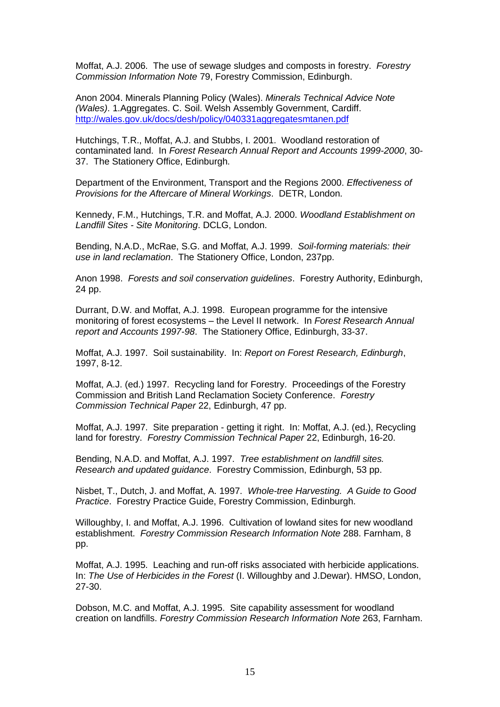Moffat, A.J. 2006. The use of sewage sludges and composts in forestry. *Forestry Commission Information Note* 79, Forestry Commission, Edinburgh.

Anon 2004. Minerals Planning Policy (Wales). *Minerals Technical Advice Note (Wales)*. 1.Aggregates. C. Soil. Welsh Assembly Government, Cardiff. <http://wales.gov.uk/docs/desh/policy/040331aggregatesmtanen.pdf>

Hutchings, T.R., Moffat, A.J. and Stubbs, I. 2001. Woodland restoration of contaminated land. In *Forest Research Annual Report and Accounts 1999-2000*, 30- 37. The Stationery Office, Edinburgh.

Department of the Environment, Transport and the Regions 2000. *Effectiveness of Provisions for the Aftercare of Mineral Workings*. DETR, London.

Kennedy, F.M., Hutchings, T.R. and Moffat, A.J. 2000. *Woodland Establishment on Landfill Sites - Site Monitoring*. DCLG, London.

Bending, N.A.D., McRae, S.G. and Moffat, A.J. 1999. *Soil-forming materials: their use in land reclamation*. The Stationery Office, London, 237pp.

Anon 1998. *Forests and soil conservation guidelines*. Forestry Authority, Edinburgh, 24 pp.

Durrant, D.W. and Moffat, A.J. 1998. European programme for the intensive monitoring of forest ecosystems – the Level II network. In *Forest Research Annual report and Accounts 1997-98*. The Stationery Office, Edinburgh, 33-37.

Moffat, A.J. 1997. Soil sustainability. In: *Report on Forest Research, Edinburgh*, 1997, 8-12.

Moffat, A.J. (ed.) 1997. Recycling land for Forestry. Proceedings of the Forestry Commission and British Land Reclamation Society Conference. *Forestry Commission Technical Paper* 22, Edinburgh, 47 pp.

Moffat, A.J. 1997. Site preparation - getting it right. In: Moffat, A.J. (ed.), Recycling land for forestry. *Forestry Commission Technical Paper* 22, Edinburgh, 16-20.

Bending, N.A.D. and Moffat, A.J. 1997. *Tree establishment on landfill sites. Research and updated guidance*. Forestry Commission, Edinburgh, 53 pp.

Nisbet, T., Dutch, J. and Moffat, A. 1997. *Whole-tree Harvesting. A Guide to Good Practice*. Forestry Practice Guide, Forestry Commission, Edinburgh.

Willoughby, I. and Moffat, A.J. 1996. Cultivation of lowland sites for new woodland establishment. *Forestry Commission Research Information Note* 288. Farnham, 8 pp.

Moffat, A.J. 1995. Leaching and run-off risks associated with herbicide applications. In: *The Use of Herbicides in the Forest* (I. Willoughby and J.Dewar). HMSO, London, 27-30.

Dobson, M.C. and Moffat, A.J. 1995. Site capability assessment for woodland creation on landfills. *Forestry Commission Research Information Note* 263, Farnham.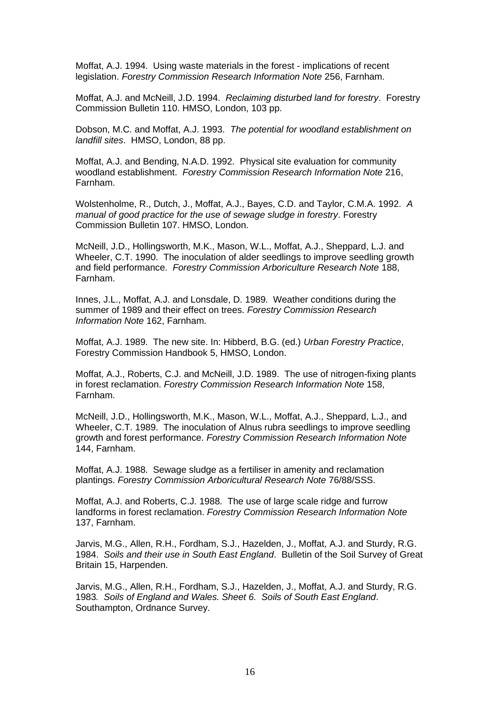Moffat, A.J. 1994. Using waste materials in the forest - implications of recent legislation. *Forestry Commission Research Information Note* 256, Farnham.

Moffat, A.J. and McNeill, J.D. 1994. *Reclaiming disturbed land for forestry*. Forestry Commission Bulletin 110. HMSO, London, 103 pp.

Dobson, M.C. and Moffat, A.J. 1993. *The potential for woodland establishment on landfill sites*. HMSO, London, 88 pp.

Moffat, A.J. and Bending, N.A.D. 1992. Physical site evaluation for community woodland establishment. *Forestry Commission Research Information Note* 216, Farnham.

Wolstenholme, R., Dutch, J., Moffat, A.J., Bayes, C.D. and Taylor, C.M.A. 1992. *A manual of good practice for the use of sewage sludge in forestry*. Forestry Commission Bulletin 107. HMSO, London.

McNeill, J.D., Hollingsworth, M.K., Mason, W.L., Moffat, A.J., Sheppard, L.J. and Wheeler, C.T. 1990. The inoculation of alder seedlings to improve seedling growth and field performance. *Forestry Commission Arboriculture Research Note* 188, Farnham.

Innes, J.L., Moffat, A.J. and Lonsdale, D. 1989. Weather conditions during the summer of 1989 and their effect on trees. *Forestry Commission Research Information Note* 162, Farnham.

Moffat, A.J. 1989. The new site. In: Hibberd, B.G. (ed.) *Urban Forestry Practice*, Forestry Commission Handbook 5, HMSO, London.

Moffat, A.J., Roberts, C.J. and McNeill, J.D. 1989. The use of nitrogen-fixing plants in forest reclamation. *Forestry Commission Research Information Note* 158, Farnham.

McNeill, J.D., Hollingsworth, M.K., Mason, W.L., Moffat, A.J., Sheppard, L.J., and Wheeler, C.T. 1989. The inoculation of Alnus rubra seedlings to improve seedling growth and forest performance. *Forestry Commission Research Information Note* 144, Farnham.

Moffat, A.J. 1988. Sewage sludge as a fertiliser in amenity and reclamation plantings. *Forestry Commission Arboricultural Research Note* 76/88/SSS.

Moffat, A.J. and Roberts, C.J. 1988. The use of large scale ridge and furrow landforms in forest reclamation. *Forestry Commission Research Information Note* 137, Farnham.

Jarvis, M.G., Allen, R.H., Fordham, S.J., Hazelden, J., Moffat, A.J. and Sturdy, R.G. 1984. *Soils and their use in South East England*. Bulletin of the Soil Survey of Great Britain 15, Harpenden.

Jarvis, M.G., Allen, R.H., Fordham, S.J., Hazelden, J., Moffat, A.J. and Sturdy, R.G. 1983*. Soils of England and Wales. Sheet 6. Soils of South East England*. Southampton, Ordnance Survey.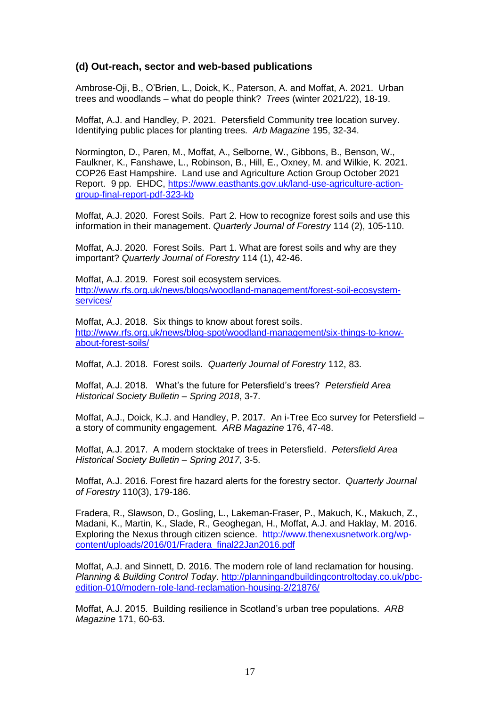#### **(d) Out-reach, sector and web-based publications**

Ambrose-Oji, B., O'Brien, L., Doick, K., Paterson, A. and Moffat, A. 2021. Urban trees and woodlands – what do people think? *Trees* (winter 2021/22), 18-19.

Moffat, A.J. and Handley, P. 2021. Petersfield Community tree location survey. Identifying public places for planting trees. *Arb Magazine* 195, 32-34.

Normington, D., Paren, M., Moffat, A., Selborne, W., Gibbons, B., Benson, W., Faulkner, K., Fanshawe, L., Robinson, B., Hill, E., Oxney, M. and Wilkie, K. 2021. COP26 East Hampshire. Land use and Agriculture Action Group October 2021 Report. 9 pp. EHDC, [https://www.easthants.gov.uk/land-use-agriculture-action](https://www.easthants.gov.uk/land-use-agriculture-action-group-final-report-pdf-323-kb)[group-final-report-pdf-323-kb](https://www.easthants.gov.uk/land-use-agriculture-action-group-final-report-pdf-323-kb)

Moffat, A.J. 2020. Forest Soils. Part 2. How to recognize forest soils and use this information in their management. *Quarterly Journal of Forestry* 114 (2), 105-110.

Moffat, A.J. 2020. Forest Soils. Part 1. What are forest soils and why are they important? *Quarterly Journal of Forestry* 114 (1), 42-46.

Moffat, A.J. 2019. Forest soil ecosystem services. [http://www.rfs.org.uk/news/blogs/woodland-management/forest-soil-ecosystem](http://www.rfs.org.uk/news/blogs/woodland-management/forest-soil-ecosystem-services/)[services/](http://www.rfs.org.uk/news/blogs/woodland-management/forest-soil-ecosystem-services/)

Moffat, A.J. 2018. Six things to know about forest soils. [http://www.rfs.org.uk/news/blog-spot/woodland-management/six-things-to-know](http://www.rfs.org.uk/news/blog-spot/woodland-management/six-things-to-know-about-forest-soils/)[about-forest-soils/](http://www.rfs.org.uk/news/blog-spot/woodland-management/six-things-to-know-about-forest-soils/)

Moffat, A.J. 2018. Forest soils. *Quarterly Journal of Forestry* 112, 83.

Moffat, A.J. 2018. What's the future for Petersfield's trees? *Petersfield Area Historical Society Bulletin – Spring 2018*, 3-7.

Moffat, A.J., Doick, K.J. and Handley, P. 2017. An i-Tree Eco survey for Petersfield – a story of community engagement. *ARB Magazine* 176, 47-48.

Moffat, A.J. 2017. A modern stocktake of trees in Petersfield. *Petersfield Area Historical Society Bulletin – Spring 2017*, 3-5.

Moffat, A.J. 2016. Forest fire hazard alerts for the forestry sector. *Quarterly Journal of Forestry* 110(3), 179-186.

Fradera, R., Slawson, D., Gosling, L., Lakeman-Fraser, P., Makuch, K., Makuch, Z., Madani, K., Martin, K., Slade, R., Geoghegan, H., Moffat, A.J. and Haklay, M. 2016. Exploring the Nexus through citizen science. [http://www.thenexusnetwork.org/wp](http://www.thenexusnetwork.org/wp-content/uploads/2016/01/Fradera_final22Jan2016.pdf)[content/uploads/2016/01/Fradera\\_final22Jan2016.pdf](http://www.thenexusnetwork.org/wp-content/uploads/2016/01/Fradera_final22Jan2016.pdf)

Moffat, A.J. and Sinnett, D. 2016. The modern role of land reclamation for housing. *Planning & Building Control Today*. [http://planningandbuildingcontroltoday.co.uk/pbc](http://planningandbuildingcontroltoday.co.uk/pbc-edition-010/modern-role-land-reclamation-housing-2/21876/)[edition-010/modern-role-land-reclamation-housing-2/21876/](http://planningandbuildingcontroltoday.co.uk/pbc-edition-010/modern-role-land-reclamation-housing-2/21876/)

Moffat, A.J. 2015. Building resilience in Scotland's urban tree populations. *ARB Magazine* 171, 60-63.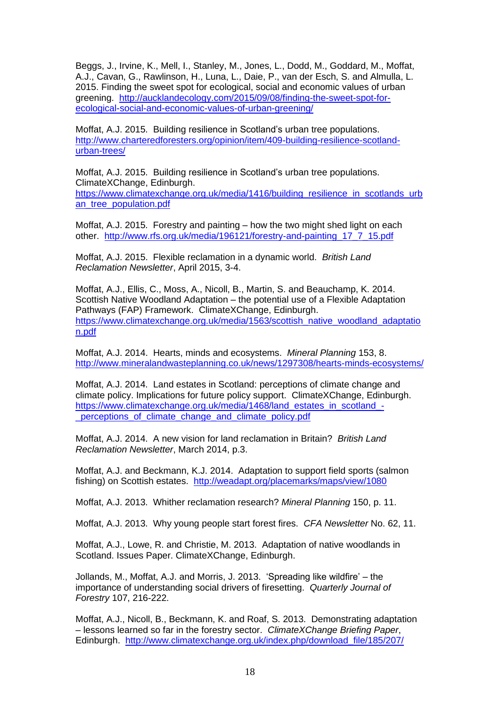[Beggs,](https://unidirectory.auckland.ac.nz/profile/j-beggs) J., [Irvine,](http://www.hutton.ac.uk/staff/katherine-irvine) K., [Mell,](http://www.liv.ac.uk/environmental-sciences/staff/ian-mell/) I., [Stanley,](https://unidirectory.auckland.ac.nz/profile/mc-stanley) M., [Jones,](https://scholar.google.co.uk/citations?hl=en&user=K1qMpYcAAAAJ&view_op=list_works&sortby=pubdate) L., [Dodd,](https://uk.linkedin.com/pub/mike-dodd/51/b8a/263) M., [Goddard,](http://www.ncl.ac.uk/ceg/staff/profile/mark.goddard) M., [Moffat,](http://www.ajmoffat.co.uk/about-us/) A.J., [Cavan,](http://www.sste.mmu.ac.uk/staff/staffbiog/default.asp?StaffID=974) G., [Rawlinson,](https://uk.linkedin.com/pub/helen-rawlinson/27/707/97b) H., [Luna,](http://www.islas.org.mx/esp/cv/luciana_luna.htm) L., Daie, P., [van der Esch,](http://www.pbl.nl/en/aboutpbl/employees/stefan-van-der-esch) S. and [Almulla,](http://www.kisr.edu.kw/en/) L. 2015. Finding the sweet spot for ecological, social and economic values of urban greening. [http://aucklandecology.com/2015/09/08/finding-the-sweet-spot-for](http://aucklandecology.com/2015/09/08/finding-the-sweet-spot-for-ecological-social-and-economic-values-of-urban-greening/)[ecological-social-and-economic-values-of-urban-greening/](http://aucklandecology.com/2015/09/08/finding-the-sweet-spot-for-ecological-social-and-economic-values-of-urban-greening/)

Moffat, A.J. 2015. Building resilience in Scotland's urban tree populations. [http://www.charteredforesters.org/opinion/item/409-building-resilience-scotland](http://www.charteredforesters.org/opinion/item/409-building-resilience-scotland-urban-trees/)[urban-trees/](http://www.charteredforesters.org/opinion/item/409-building-resilience-scotland-urban-trees/)

Moffat, A.J. 2015. Building resilience in Scotland's urban tree populations. ClimateXChange, Edinburgh. [https://www.climatexchange.org.uk/media/1416/building\\_resilience\\_in\\_scotlands\\_urb](https://www.climatexchange.org.uk/media/1416/building_resilience_in_scotlands_urban_tree_population.pdf) an tree population.pdf

Moffat, A.J. 2015. Forestry and painting – how the two might shed light on each other. [http://www.rfs.org.uk/media/196121/forestry-and-painting\\_17\\_7\\_15.pdf](http://www.rfs.org.uk/media/196121/forestry-and-painting_17_7_15.pdf)

Moffat, A.J. 2015. Flexible reclamation in a dynamic world. *British Land Reclamation Newsletter*, April 2015, 3-4.

Moffat, A.J., Ellis, C., Moss, A., Nicoll, B., Martin, S. and Beauchamp, K. 2014. Scottish Native Woodland Adaptation – the potential use of a Flexible Adaptation Pathways (FAP) Framework. ClimateXChange, Edinburgh. [https://www.climatexchange.org.uk/media/1563/scottish\\_native\\_woodland\\_adaptatio](https://www.climatexchange.org.uk/media/1563/scottish_native_woodland_adaptation.pdf) [n.pdf](https://www.climatexchange.org.uk/media/1563/scottish_native_woodland_adaptation.pdf)

Moffat, A.J. 2014. Hearts, minds and ecosystems. *Mineral Planning* 153, 8. <http://www.mineralandwasteplanning.co.uk/news/1297308/hearts-minds-ecosystems/>

Moffat, A.J. 2014. Land estates in Scotland: perceptions of climate change and climate policy. Implications for future policy support. ClimateXChange, Edinburgh. [https://www.climatexchange.org.uk/media/1468/land\\_estates\\_in\\_scotland\\_-](https://www.climatexchange.org.uk/media/1468/land_estates_in_scotland_-_perceptions_of_climate_change_and_climate_policy.pdf) [\\_perceptions\\_of\\_climate\\_change\\_and\\_climate\\_policy.pdf](https://www.climatexchange.org.uk/media/1468/land_estates_in_scotland_-_perceptions_of_climate_change_and_climate_policy.pdf) 

Moffat, A.J. 2014. A new vision for land reclamation in Britain? *British Land Reclamation Newsletter*, March 2014, p.3.

Moffat, A.J. and Beckmann, K.J. 2014. Adaptation to support field sports (salmon fishing) on Scottish estates. <http://weadapt.org/placemarks/maps/view/1080>

Moffat, A.J. 2013. Whither reclamation research? *Mineral Planning* 150, p. 11.

Moffat, A.J. 2013. Why young people start forest fires. *CFA Newsletter* No. 62, 11.

Moffat, A.J., Lowe, R. and Christie, M. 2013. Adaptation of native woodlands in Scotland. Issues Paper. ClimateXChange, Edinburgh.

Jollands, M., Moffat, A.J. and Morris, J. 2013. 'Spreading like wildfire' – the importance of understanding social drivers of firesetting. *Quarterly Journal of Forestry* 107, 216-222.

Moffat, A.J., Nicoll, B., Beckmann, K. and Roaf, S. 2013. Demonstrating adaptation – lessons learned so far in the forestry sector. *ClimateXChange Briefing Paper*, Edinburgh. [http://www.climatexchange.org.uk/index.php/download\\_file/185/207/](http://www.climatexchange.org.uk/index.php/download_file/185/207/)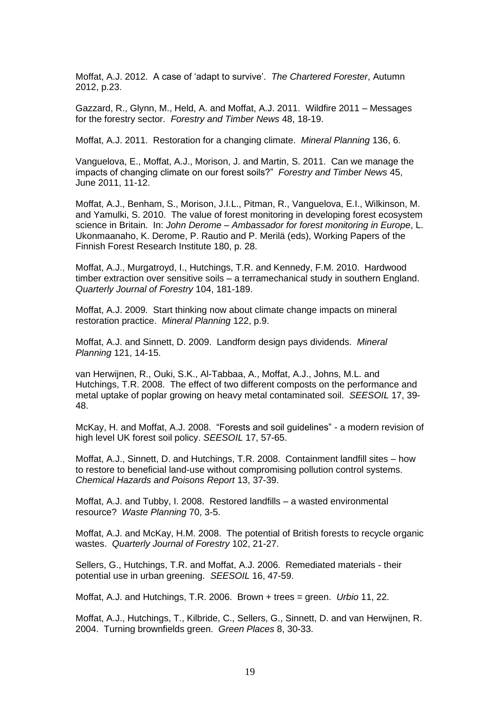Moffat, A.J. 2012. A case of 'adapt to survive'. *The Chartered Forester*, Autumn 2012, p.23.

Gazzard, R., Glynn, M., Held, A. and Moffat, A.J. 2011. Wildfire 2011 – Messages for the forestry sector. *Forestry and Timber News* 48, 18-19.

Moffat, A.J. 2011. Restoration for a changing climate. *Mineral Planning* 136, 6.

Vanguelova, E., Moffat, A.J., Morison, J. and Martin, S. 2011. Can we manage the impacts of changing climate on our forest soils?" *Forestry and Timber News* 45, June 2011, 11-12.

Moffat, A.J., Benham, S., Morison, J.I.L., Pitman, R., Vanguelova, E.I., Wilkinson, M. and Yamulki, S. 2010. The value of forest monitoring in developing forest ecosystem science in Britain. In: *John Derome – Ambassador for forest monitoring in Europe*, L. Ukonmaanaho, K. Derome, P. Rautio and P. Merilä (eds), Working Papers of the Finnish Forest Research Institute 180, p. 28.

Moffat, A.J., Murgatroyd, I., Hutchings, T.R. and Kennedy, F.M. 2010. Hardwood timber extraction over sensitive soils – a terramechanical study in southern England. *Quarterly Journal of Forestry* 104, 181-189.

Moffat, A.J. 2009. Start thinking now about climate change impacts on mineral restoration practice. *Mineral Planning* 122, p.9.

Moffat, A.J. and Sinnett, D. 2009. Landform design pays dividends. *Mineral Planning* 121, 14-15.

van Herwijnen, R., Ouki, S.K., Al-Tabbaa, A., Moffat, A.J., Johns, M.L. and Hutchings, T.R. 2008. The effect of two different composts on the performance and metal uptake of poplar growing on heavy metal contaminated soil. *SEESOIL* 17, 39- 48.

McKay, H. and Moffat, A.J. 2008. "Forests and soil guidelines" - a modern revision of high level UK forest soil policy. *SEESOIL* 17, 57-65.

Moffat, A.J., Sinnett, D. and Hutchings, T.R. 2008. Containment landfill sites – how to restore to beneficial land-use without compromising pollution control systems. *Chemical Hazards and Poisons Report* 13, 37-39.

Moffat, A.J. and Tubby, I. 2008. Restored landfills – a wasted environmental resource? *Waste Planning* 70, 3-5.

Moffat, A.J. and McKay, H.M. 2008. The potential of British forests to recycle organic wastes. *Quarterly Journal of Forestry* 102, 21-27.

Sellers, G., Hutchings, T.R. and Moffat, A.J. 2006. Remediated materials - their potential use in urban greening. *SEESOIL* 16, 47-59.

Moffat, A.J. and Hutchings, T.R. 2006. Brown + trees = green. *Urbio* 11, 22.

Moffat, A.J., Hutchings, T., Kilbride, C., Sellers, G., Sinnett, D. and van Herwijnen, R. 2004. Turning brownfields green. *Green Places* 8, 30-33.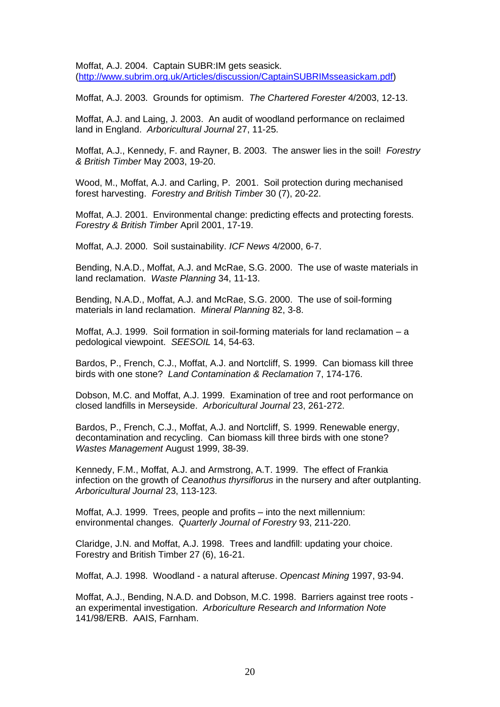Moffat, A.J. 2004. Captain SUBR:IM gets seasick. [\(http://www.subrim.org.uk/Articles/discussion/CaptainSUBRIMsseasickam.pdf\)](http://www.subrim.org.uk/Articles/discussion/CaptainSUBRIMsseasickam.pdf)

Moffat, A.J. 2003. Grounds for optimism. *The Chartered Forester* 4/2003, 12-13.

Moffat, A.J. and Laing, J. 2003. An audit of woodland performance on reclaimed land in England. *Arboricultural Journal* 27, 11-25.

Moffat, A.J., Kennedy, F. and Rayner, B. 2003. The answer lies in the soil! *Forestry & British Timber* May 2003, 19-20.

Wood, M., Moffat, A.J. and Carling, P. 2001. Soil protection during mechanised forest harvesting. *Forestry and British Timber* 30 (7), 20-22.

Moffat, A.J. 2001. Environmental change: predicting effects and protecting forests. *Forestry & British Timber* April 2001, 17-19.

Moffat, A.J. 2000. Soil sustainability. *ICF News* 4/2000, 6-7.

Bending, N.A.D., Moffat, A.J. and McRae, S.G. 2000. The use of waste materials in land reclamation. *Waste Planning* 34, 11-13.

Bending, N.A.D., Moffat, A.J. and McRae, S.G. 2000. The use of soil-forming materials in land reclamation. *Mineral Planning* 82, 3-8.

Moffat, A.J. 1999. Soil formation in soil-forming materials for land reclamation – a pedological viewpoint. *SEESOIL* 14, 54-63.

Bardos, P., French, C.J., Moffat, A.J. and Nortcliff, S. 1999. Can biomass kill three birds with one stone? *Land Contamination & Reclamation* 7, 174-176.

Dobson, M.C. and Moffat, A.J. 1999. Examination of tree and root performance on closed landfills in Merseyside. *Arboricultural Journal* 23, 261-272.

Bardos, P., French, C.J., Moffat, A.J. and Nortcliff, S. 1999. Renewable energy, decontamination and recycling. Can biomass kill three birds with one stone? *Wastes Management* August 1999, 38-39.

Kennedy, F.M., Moffat, A.J. and Armstrong, A.T. 1999. The effect of Frankia infection on the growth of *Ceanothus thyrsiflorus* in the nursery and after outplanting. *Arboricultural Journal* 23, 113-123.

Moffat, A.J. 1999. Trees, people and profits – into the next millennium: environmental changes. *Quarterly Journal of Forestry* 93, 211-220.

Claridge, J.N. and Moffat, A.J. 1998. Trees and landfill: updating your choice. Forestry and British Timber 27 (6), 16-21.

Moffat, A.J. 1998. Woodland - a natural afteruse. *Opencast Mining* 1997, 93-94.

Moffat, A.J., Bending, N.A.D. and Dobson, M.C. 1998. Barriers against tree roots an experimental investigation. *Arboriculture Research and Information Note*  141/98/ERB. AAIS, Farnham.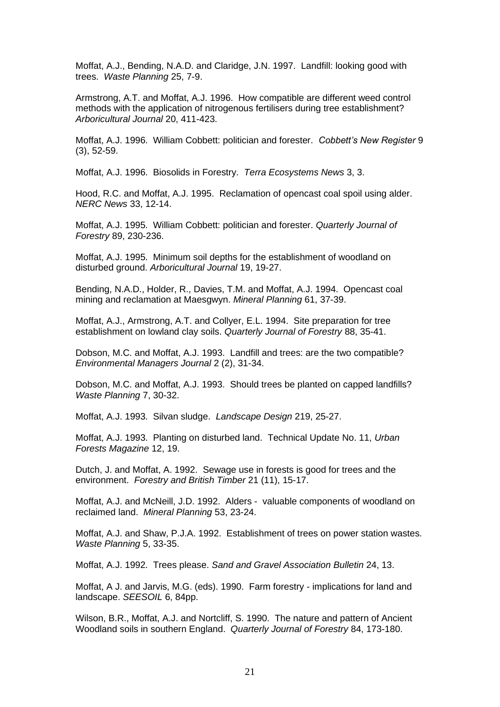Moffat, A.J., Bending, N.A.D. and Claridge, J.N. 1997. Landfill: looking good with trees. *Waste Planning* 25, 7-9.

Armstrong, A.T. and Moffat, A.J. 1996. How compatible are different weed control methods with the application of nitrogenous fertilisers during tree establishment? *Arboricultural Journal* 20, 411-423.

Moffat, A.J. 1996. William Cobbett: politician and forester. *Cobbett's New Register* 9 (3), 52-59.

Moffat, A.J. 1996. Biosolids in Forestry. *Terra Ecosystems News* 3, 3.

Hood, R.C. and Moffat, A.J. 1995. Reclamation of opencast coal spoil using alder. *NERC News* 33, 12-14.

Moffat, A.J. 1995. William Cobbett: politician and forester. *Quarterly Journal of Forestry* 89, 230-236.

Moffat, A.J. 1995. Minimum soil depths for the establishment of woodland on disturbed ground. *Arboricultural Journal* 19, 19-27.

Bending, N.A.D., Holder, R., Davies, T.M. and Moffat, A.J. 1994. Opencast coal mining and reclamation at Maesgwyn. *Mineral Planning* 61, 37-39.

Moffat, A.J., Armstrong, A.T. and Collyer, E.L. 1994. Site preparation for tree establishment on lowland clay soils. *Quarterly Journal of Forestry* 88, 35-41.

Dobson, M.C. and Moffat, A.J. 1993. Landfill and trees: are the two compatible? *Environmental Managers Journal* 2 (2), 31-34.

Dobson, M.C. and Moffat, A.J. 1993. Should trees be planted on capped landfills? *Waste Planning* 7, 30-32.

Moffat, A.J. 1993. Silvan sludge. *Landscape Design* 219, 25-27.

Moffat, A.J. 1993. Planting on disturbed land. Technical Update No. 11, *Urban Forests Magazine* 12, 19.

Dutch, J. and Moffat, A. 1992. Sewage use in forests is good for trees and the environment. *Forestry and British Timber* 21 (11), 15-17.

Moffat, A.J. and McNeill, J.D. 1992. Alders - valuable components of woodland on reclaimed land. *Mineral Planning* 53, 23-24.

Moffat, A.J. and Shaw, P.J.A. 1992. Establishment of trees on power station wastes. *Waste Planning* 5, 33-35.

Moffat, A.J. 1992. Trees please. *Sand and Gravel Association Bulletin* 24, 13.

Moffat, A J. and Jarvis, M.G. (eds). 1990. Farm forestry - implications for land and landscape. *SEESOIL* 6, 84pp.

Wilson, B.R., Moffat, A.J. and Nortcliff, S. 1990. The nature and pattern of Ancient Woodland soils in southern England. *Quarterly Journal of Forestry* 84, 173-180.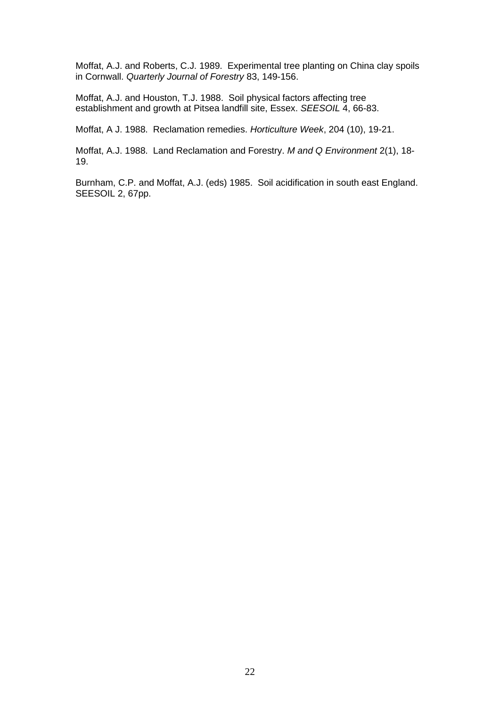Moffat, A.J. and Roberts, C.J. 1989. Experimental tree planting on China clay spoils in Cornwall. *Quarterly Journal of Forestry* 83, 149-156.

Moffat, A.J. and Houston, T.J. 1988. Soil physical factors affecting tree establishment and growth at Pitsea landfill site, Essex. *SEESOIL* 4, 66-83.

Moffat, A J. 1988. Reclamation remedies. *Horticulture Week*, 204 (10), 19-21.

Moffat, A.J. 1988. Land Reclamation and Forestry. *M and Q Environment* 2(1), 18- 19.

Burnham, C.P. and Moffat, A.J. (eds) 1985. Soil acidification in south east England. SEESOIL 2, 67pp.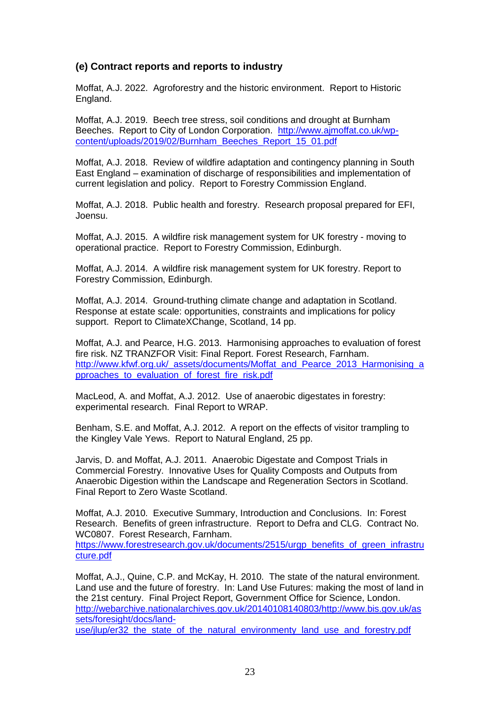## **(e) Contract reports and reports to industry**

Moffat, A.J. 2022. Agroforestry and the historic environment. Report to Historic England.

Moffat, A.J. 2019. Beech tree stress, soil conditions and drought at Burnham Beeches. Report to City of London Corporation. [http://www.ajmoffat.co.uk/wp](http://www.ajmoffat.co.uk/wp-content/uploads/2019/02/Burnham_Beeches_Report_15_01.pdf)[content/uploads/2019/02/Burnham\\_Beeches\\_Report\\_15\\_01.pdf](http://www.ajmoffat.co.uk/wp-content/uploads/2019/02/Burnham_Beeches_Report_15_01.pdf)

Moffat, A.J. 2018. Review of wildfire adaptation and contingency planning in South East England – examination of discharge of responsibilities and implementation of current legislation and policy. Report to Forestry Commission England.

Moffat, A.J. 2018. Public health and forestry. Research proposal prepared for EFI, Joensu.

Moffat, A.J. 2015. A wildfire risk management system for UK forestry - moving to operational practice. Report to Forestry Commission, Edinburgh.

Moffat, A.J. 2014. A wildfire risk management system for UK forestry. Report to Forestry Commission, Edinburgh.

Moffat, A.J. 2014. Ground-truthing climate change and adaptation in Scotland. Response at estate scale: opportunities, constraints and implications for policy support. Report to ClimateXChange, Scotland, 14 pp.

Moffat, A.J. and Pearce, H.G. 2013. Harmonising approaches to evaluation of forest fire risk. NZ TRANZFOR Visit: Final Report. Forest Research, Farnham. [http://www.kfwf.org.uk/\\_assets/documents/Moffat\\_and\\_Pearce\\_2013\\_Harmonising\\_a](http://www.kfwf.org.uk/_assets/documents/Moffat_and_Pearce_2013_Harmonising_approaches_to_evaluation_of_forest_fire_risk.pdf) pproaches to evaluation of forest fire risk.pdf

MacLeod, A. and Moffat, A.J. 2012. Use of anaerobic digestates in forestry: experimental research. Final Report to WRAP.

Benham, S.E. and Moffat, A.J. 2012. A report on the effects of visitor trampling to the Kingley Vale Yews. Report to Natural England, 25 pp.

Jarvis, D. and Moffat, A.J. 2011. Anaerobic Digestate and Compost Trials in Commercial Forestry. Innovative Uses for Quality Composts and Outputs from Anaerobic Digestion within the Landscape and Regeneration Sectors in Scotland. Final Report to Zero Waste Scotland.

Moffat, A.J. 2010. Executive Summary, Introduction and Conclusions. In: Forest Research. Benefits of green infrastructure. Report to Defra and CLG. Contract No. WC0807. Forest Research, Farnham.

[https://www.forestresearch.gov.uk/documents/2515/urgp\\_benefits\\_of\\_green\\_infrastru](https://www.forestresearch.gov.uk/documents/2515/urgp_benefits_of_green_infrastructure.pdf) [cture.pdf](https://www.forestresearch.gov.uk/documents/2515/urgp_benefits_of_green_infrastructure.pdf)

Moffat, A.J., Quine, C.P. and McKay, H. 2010. The state of the natural environment. Land use and the future of forestry. In: Land Use Futures: making the most of land in the 21st century. Final Project Report, Government Office for Science, London. [http://webarchive.nationalarchives.gov.uk/20140108140803/http://www.bis.gov.uk/as](http://webarchive.nationalarchives.gov.uk/20140108140803/http:/www.bis.gov.uk/assets/foresight/docs/land-use/jlup/er32_the_state_of_the_natural_environmenty_land_use_and_forestry.pdf) [sets/foresight/docs/land-](http://webarchive.nationalarchives.gov.uk/20140108140803/http:/www.bis.gov.uk/assets/foresight/docs/land-use/jlup/er32_the_state_of_the_natural_environmenty_land_use_and_forestry.pdf)

use/jlup/er32 the state of the natural environmenty land use and forestry.pdf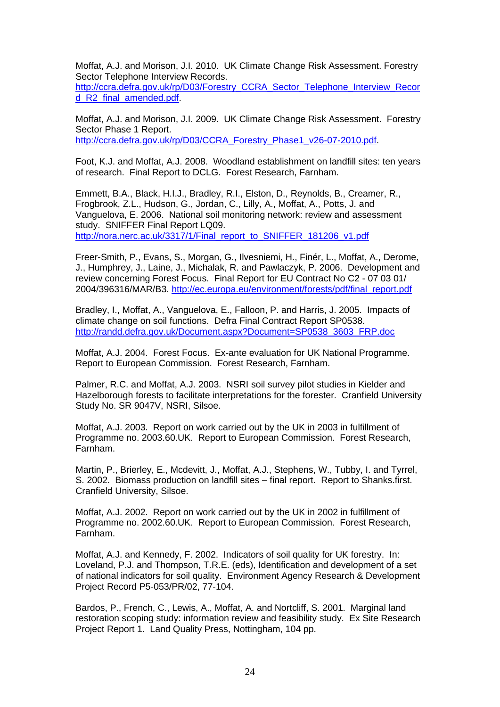Moffat, A.J. and Morison, J.I. 2010. UK Climate Change Risk Assessment. Forestry Sector Telephone Interview Records.

[http://ccra.defra.gov.uk/rp/D03/Forestry\\_CCRA\\_Sector\\_Telephone\\_Interview\\_Recor](http://ccra.defra.gov.uk/rp/D03/Forestry_CCRA_Sector_Telephone_Interview_Record_R2_final_amended.pdf) [d\\_R2\\_final\\_amended.pdf.](http://ccra.defra.gov.uk/rp/D03/Forestry_CCRA_Sector_Telephone_Interview_Record_R2_final_amended.pdf)

Moffat, A.J. and Morison, J.I. 2009. UK Climate Change Risk Assessment. Forestry Sector Phase 1 Report. [http://ccra.defra.gov.uk/rp/D03/CCRA\\_Forestry\\_Phase1\\_v26-07-2010.pdf.](http://ccra.defra.gov.uk/rp/D03/CCRA_Forestry_Phase1_v26-07-2010.pdf)

Foot, K.J. and Moffat, A.J. 2008. Woodland establishment on landfill sites: ten years of research. Final Report to DCLG. Forest Research, Farnham.

Emmett, B.A., Black, H.I.J., Bradley, R.I., Elston, D., Reynolds, B., Creamer, R., Frogbrook, Z.L., Hudson, G., Jordan, C., Lilly, A., Moffat, A., Potts, J. and Vanguelova, E. 2006. National soil monitoring network: review and assessment study. SNIFFER Final Report LQ09.

[http://nora.nerc.ac.uk/3317/1/Final\\_report\\_to\\_SNIFFER\\_181206\\_v1.pdf](http://nora.nerc.ac.uk/3317/1/Final_report_to_SNIFFER_181206_v1.pdf)

Freer-Smith, P., Evans, S., Morgan, G., Ilvesniemi, H., Finér, L., Moffat, A., Derome, J., Humphrey, J., Laine, J., Michalak, R. and Pawlaczyk, P. 2006. Development and review concerning Forest Focus. Final Report for EU Contract No C2 - 07 03 01/ 2004/396316/MAR/B3. [http://ec.europa.eu/environment/forests/pdf/final\\_report.pdf](http://ec.europa.eu/environment/forests/pdf/final_report.pdf)

Bradley, I., Moffat, A., Vanguelova, E., Falloon, P. and Harris, J. 2005. Impacts of climate change on soil functions. Defra Final Contract Report SP0538. [http://randd.defra.gov.uk/Document.aspx?Document=SP0538\\_3603\\_FRP.doc](http://randd.defra.gov.uk/Document.aspx?Document=SP0538_3603_FRP.doc)

Moffat, A.J. 2004. Forest Focus. Ex-ante evaluation for UK National Programme. Report to European Commission. Forest Research, Farnham.

Palmer, R.C. and Moffat, A.J. 2003. NSRI soil survey pilot studies in Kielder and Hazelborough forests to facilitate interpretations for the forester. Cranfield University Study No. SR 9047V, NSRI, Silsoe.

Moffat, A.J. 2003. Report on work carried out by the UK in 2003 in fulfillment of Programme no. 2003.60.UK. Report to European Commission. Forest Research, Farnham.

Martin, P., Brierley, E., Mcdevitt, J., Moffat, A.J., Stephens, W., Tubby, I. and Tyrrel, S. 2002. Biomass production on landfill sites – final report. Report to Shanks.first. Cranfield University, Silsoe.

Moffat, A.J. 2002. Report on work carried out by the UK in 2002 in fulfillment of Programme no. 2002.60.UK. Report to European Commission. Forest Research, Farnham.

Moffat, A.J. and Kennedy, F. 2002. Indicators of soil quality for UK forestry. In: Loveland, P.J. and Thompson, T.R.E. (eds), Identification and development of a set of national indicators for soil quality. Environment Agency Research & Development Project Record P5-053/PR/02, 77-104.

Bardos, P., French, C., Lewis, A., Moffat, A. and Nortcliff, S. 2001. Marginal land restoration scoping study: information review and feasibility study. Ex Site Research Project Report 1. Land Quality Press, Nottingham, 104 pp.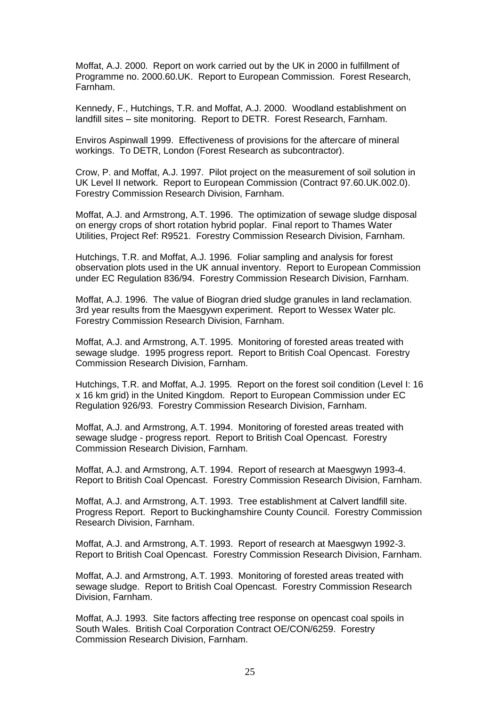Moffat, A.J. 2000. Report on work carried out by the UK in 2000 in fulfillment of Programme no. 2000.60.UK. Report to European Commission. Forest Research, Farnham.

Kennedy, F., Hutchings, T.R. and Moffat, A.J. 2000. Woodland establishment on landfill sites – site monitoring. Report to DETR. Forest Research, Farnham.

Enviros Aspinwall 1999. Effectiveness of provisions for the aftercare of mineral workings. To DETR, London (Forest Research as subcontractor).

Crow, P. and Moffat, A.J. 1997. Pilot project on the measurement of soil solution in UK Level II network. Report to European Commission (Contract 97.60.UK.002.0). Forestry Commission Research Division, Farnham.

Moffat, A.J. and Armstrong, A.T. 1996. The optimization of sewage sludge disposal on energy crops of short rotation hybrid poplar. Final report to Thames Water Utilities, Project Ref: R9521. Forestry Commission Research Division, Farnham.

Hutchings, T.R. and Moffat, A.J. 1996. Foliar sampling and analysis for forest observation plots used in the UK annual inventory. Report to European Commission under EC Regulation 836/94. Forestry Commission Research Division, Farnham.

Moffat, A.J. 1996. The value of Biogran dried sludge granules in land reclamation. 3rd year results from the Maesgywn experiment. Report to Wessex Water plc. Forestry Commission Research Division, Farnham.

Moffat, A.J. and Armstrong, A.T. 1995. Monitoring of forested areas treated with sewage sludge. 1995 progress report. Report to British Coal Opencast. Forestry Commission Research Division, Farnham.

Hutchings, T.R. and Moffat, A.J. 1995. Report on the forest soil condition (Level I: 16 x 16 km grid) in the United Kingdom. Report to European Commission under EC Regulation 926/93. Forestry Commission Research Division, Farnham.

Moffat, A.J. and Armstrong, A.T. 1994. Monitoring of forested areas treated with sewage sludge - progress report. Report to British Coal Opencast. Forestry Commission Research Division, Farnham.

Moffat, A.J. and Armstrong, A.T. 1994. Report of research at Maesgwyn 1993-4. Report to British Coal Opencast. Forestry Commission Research Division, Farnham.

Moffat, A.J. and Armstrong, A.T. 1993. Tree establishment at Calvert landfill site. Progress Report. Report to Buckinghamshire County Council. Forestry Commission Research Division, Farnham.

Moffat, A.J. and Armstrong, A.T. 1993. Report of research at Maesgwyn 1992-3. Report to British Coal Opencast. Forestry Commission Research Division, Farnham.

Moffat, A.J. and Armstrong, A.T. 1993. Monitoring of forested areas treated with sewage sludge. Report to British Coal Opencast. Forestry Commission Research Division, Farnham.

Moffat, A.J. 1993. Site factors affecting tree response on opencast coal spoils in South Wales. British Coal Corporation Contract OE/CON/6259. Forestry Commission Research Division, Farnham.